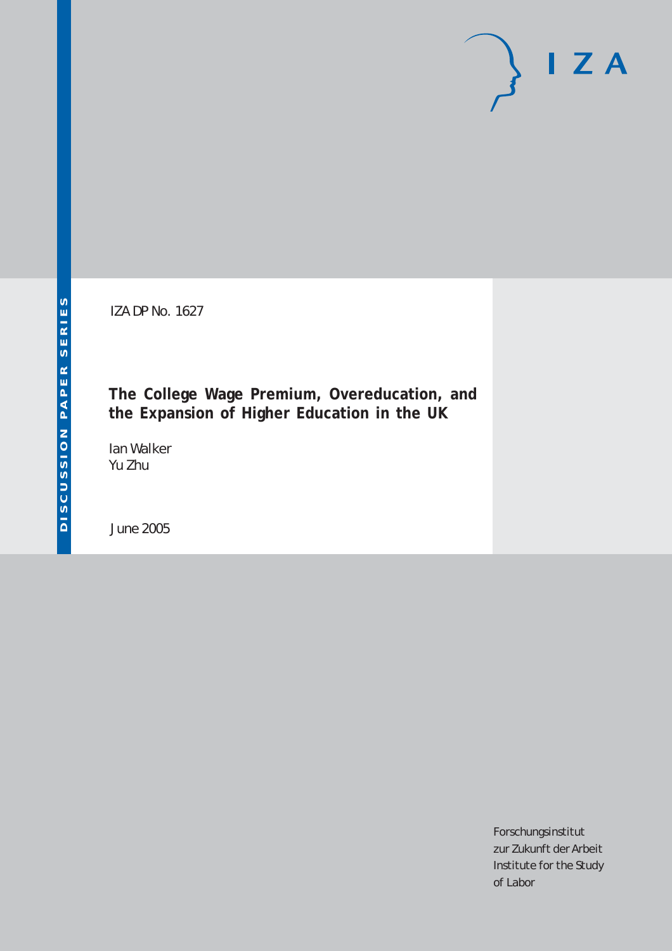# $I Z A$

IZA DP No. 1627

**The College Wage Premium, Overeducation, and the Expansion of Higher Education in the UK**

Ian Walker Yu Zhu

June 2005

Forschungsinstitut zur Zukunft der Arbeit Institute for the Study of Labor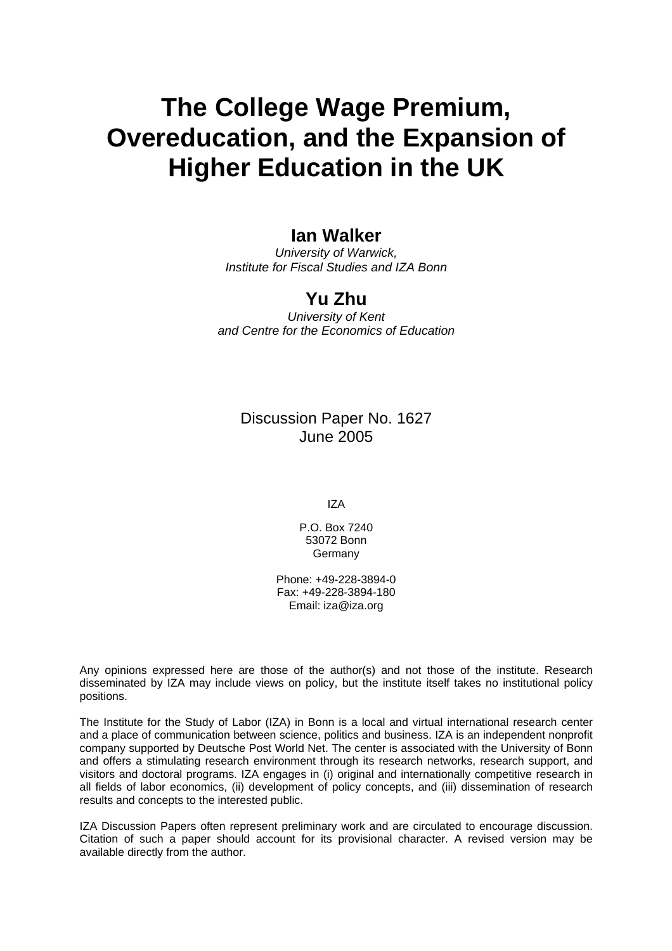# **The College Wage Premium, Overeducation, and the Expansion of Higher Education in the UK**

## **Ian Walker**

*University of Warwick, Institute for Fiscal Studies and IZA Bonn* 

# **Yu Zhu**

*University of Kent and Centre for the Economics of Education* 

## Discussion Paper No. 1627 June 2005

IZA

P.O. Box 7240 53072 Bonn Germany

Phone: +49-228-3894-0 Fax: +49-228-3894-180 Email: [iza@iza.org](mailto:iza@iza.org)

Any opinions expressed here are those of the author(s) and not those of the institute. Research disseminated by IZA may include views on policy, but the institute itself takes no institutional policy positions.

The Institute for the Study of Labor (IZA) in Bonn is a local and virtual international research center and a place of communication between science, politics and business. IZA is an independent nonprofit company supported by Deutsche Post World Net. The center is associated with the University of Bonn and offers a stimulating research environment through its research networks, research support, and visitors and doctoral programs. IZA engages in (i) original and internationally competitive research in all fields of labor economics, (ii) development of policy concepts, and (iii) dissemination of research results and concepts to the interested public.

IZA Discussion Papers often represent preliminary work and are circulated to encourage discussion. Citation of such a paper should account for its provisional character. A revised version may be available directly from the author.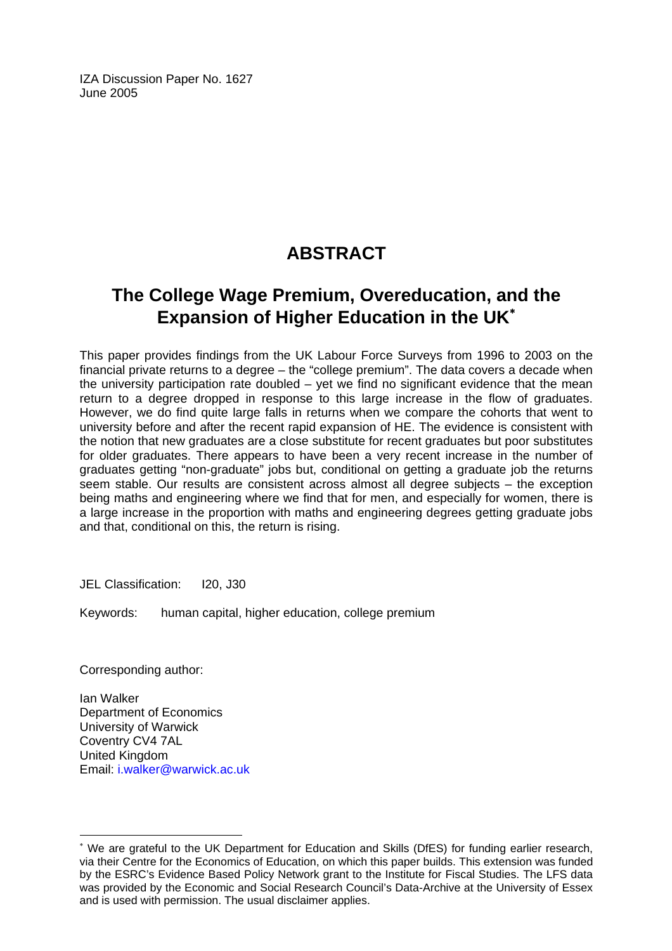IZA Discussion Paper No. 1627 June 2005

# **ABSTRACT**

# **The College Wage Premium, Overeducation, and the Expansion of Higher Education in the UK**[∗](#page-2-0)

This paper provides findings from the UK Labour Force Surveys from 1996 to 2003 on the financial private returns to a degree – the "college premium". The data covers a decade when the university participation rate doubled – yet we find no significant evidence that the mean return to a degree dropped in response to this large increase in the flow of graduates. However, we do find quite large falls in returns when we compare the cohorts that went to university before and after the recent rapid expansion of HE. The evidence is consistent with the notion that new graduates are a close substitute for recent graduates but poor substitutes for older graduates. There appears to have been a very recent increase in the number of graduates getting "non-graduate" jobs but, conditional on getting a graduate job the returns seem stable. Our results are consistent across almost all degree subjects – the exception being maths and engineering where we find that for men, and especially for women, there is a large increase in the proportion with maths and engineering degrees getting graduate jobs and that, conditional on this, the return is rising.

JEL Classification: I20, J30

Keywords: human capital, higher education, college premium

Corresponding author:

 $\overline{a}$ 

Ian Walker Department of Economics University of Warwick Coventry CV4 7AL United Kingdom Email: [i.walker@warwick.ac.uk](mailto:i.walker@warwick.ac.uk)

<span id="page-2-0"></span><sup>∗</sup> We are grateful to the UK Department for Education and Skills (DfES) for funding earlier research, via their Centre for the Economics of Education, on which this paper builds. This extension was funded by the ESRC's Evidence Based Policy Network grant to the Institute for Fiscal Studies. The LFS data was provided by the Economic and Social Research Council's Data-Archive at the University of Essex and is used with permission. The usual disclaimer applies.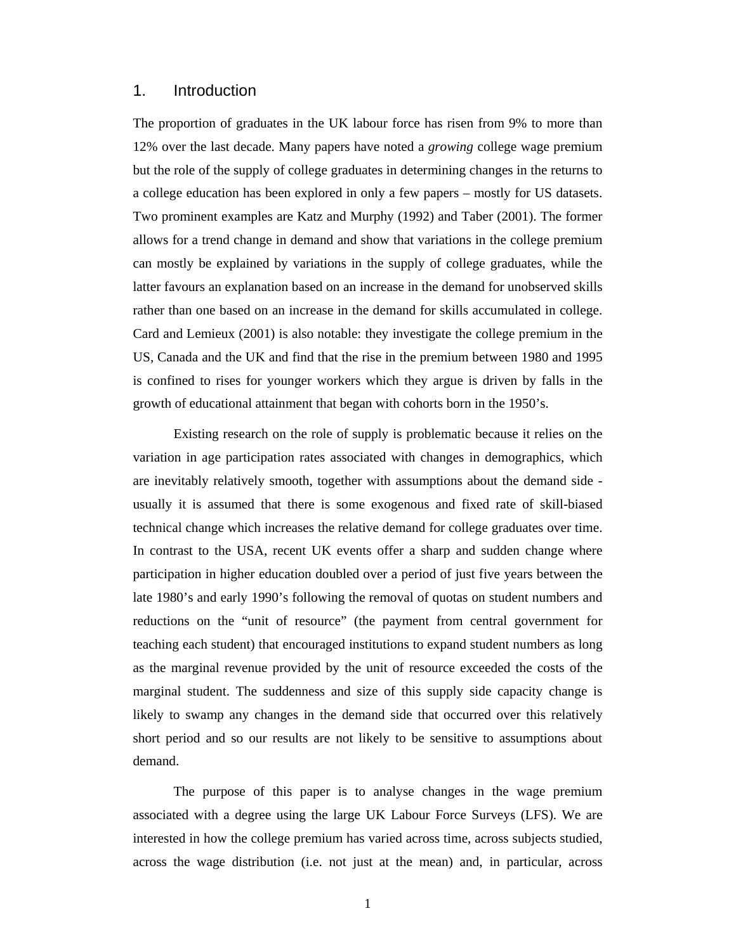#### 1. Introduction

The proportion of graduates in the UK labour force has risen from 9% to more than 12% over the last decade. Many papers have noted a *growing* college wage premium but the role of the supply of college graduates in determining changes in the returns to a college education has been explored in only a few papers – mostly for US datasets. Two prominent examples are Katz and Murphy (1992) and Taber (2001). The former allows for a trend change in demand and show that variations in the college premium can mostly be explained by variations in the supply of college graduates, while the latter favours an explanation based on an increase in the demand for unobserved skills rather than one based on an increase in the demand for skills accumulated in college. Card and Lemieux (2001) is also notable: they investigate the college premium in the US, Canada and the UK and find that the rise in the premium between 1980 and 1995 is confined to rises for younger workers which they argue is driven by falls in the growth of educational attainment that began with cohorts born in the 1950's.

Existing research on the role of supply is problematic because it relies on the variation in age participation rates associated with changes in demographics, which are inevitably relatively smooth, together with assumptions about the demand side usually it is assumed that there is some exogenous and fixed rate of skill-biased technical change which increases the relative demand for college graduates over time. In contrast to the USA, recent UK events offer a sharp and sudden change where participation in higher education doubled over a period of just five years between the late 1980's and early 1990's following the removal of quotas on student numbers and reductions on the "unit of resource" (the payment from central government for teaching each student) that encouraged institutions to expand student numbers as long as the marginal revenue provided by the unit of resource exceeded the costs of the marginal student. The suddenness and size of this supply side capacity change is likely to swamp any changes in the demand side that occurred over this relatively short period and so our results are not likely to be sensitive to assumptions about demand.

The purpose of this paper is to analyse changes in the wage premium associated with a degree using the large UK Labour Force Surveys (LFS). We are interested in how the college premium has varied across time, across subjects studied, across the wage distribution (i.e. not just at the mean) and, in particular, across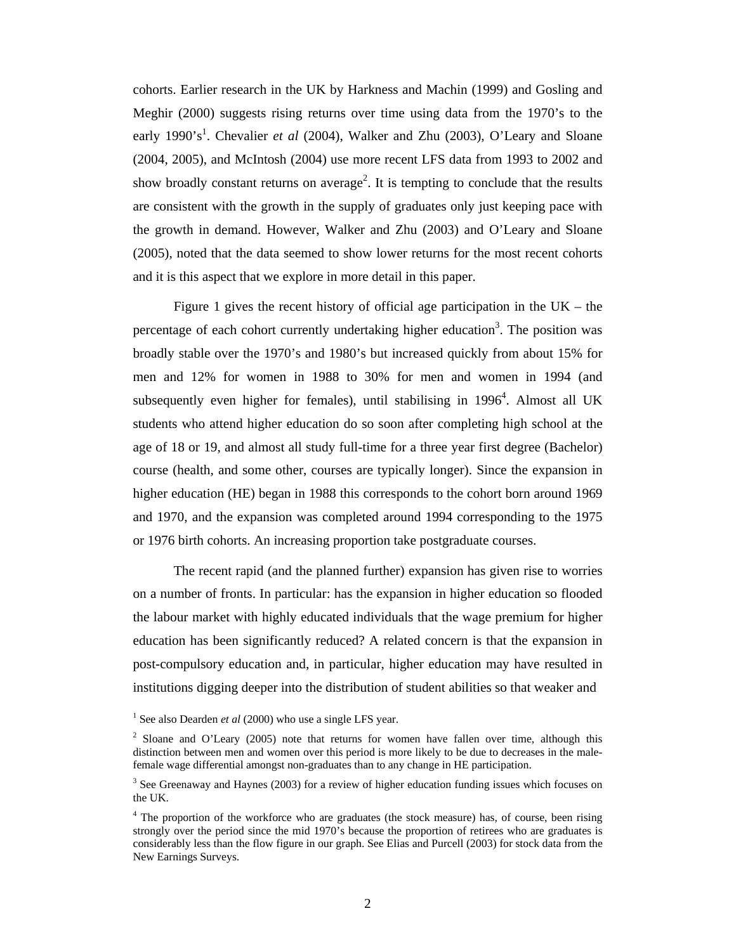cohorts. Earlier research in the UK by Harkness and Machin (1999) and Gosling and Meghir (2000) suggests rising returns over time using data from the 1970's to the early 1990's<sup>1</sup>. Chevalier *et al* (2004), Walker and Zhu (2003), O'Leary and Sloane (2004, 2005), and McIntosh (2004) use more recent LFS data from 1993 to 2002 and show broadly constant returns on average<sup>2</sup>. It is tempting to conclude that the results are consistent with the growth in the supply of graduates only just keeping pace with the growth in demand. However, Walker and Zhu (2003) and O'Leary and Sloane (2005), noted that the data seemed to show lower returns for the most recent cohorts and it is this aspect that we explore in more detail in this paper.

Figure 1 gives the recent history of official age participation in the  $UK - the$ percentage of each cohort currently undertaking higher education<sup>3</sup>. The position was broadly stable over the 1970's and 1980's but increased quickly from about 15% for men and 12% for women in 1988 to 30% for men and women in 1994 (and subsequently even higher for females), until stabilising in  $1996<sup>4</sup>$ . Almost all UK students who attend higher education do so soon after completing high school at the age of 18 or 19, and almost all study full-time for a three year first degree (Bachelor) course (health, and some other, courses are typically longer). Since the expansion in higher education (HE) began in 1988 this corresponds to the cohort born around 1969 and 1970, and the expansion was completed around 1994 corresponding to the 1975 or 1976 birth cohorts. An increasing proportion take postgraduate courses.

The recent rapid (and the planned further) expansion has given rise to worries on a number of fronts. In particular: has the expansion in higher education so flooded the labour market with highly educated individuals that the wage premium for higher education has been significantly reduced? A related concern is that the expansion in post-compulsory education and, in particular, higher education may have resulted in institutions digging deeper into the distribution of student abilities so that weaker and

<sup>&</sup>lt;sup>1</sup> See also Dearden *et al* (2000) who use a single LFS year.

<sup>&</sup>lt;sup>2</sup> Sloane and O'Leary (2005) note that returns for women have fallen over time, although this distinction between men and women over this period is more likely to be due to decreases in the malefemale wage differential amongst non-graduates than to any change in HE participation.

 $3$  See Greenaway and Haynes (2003) for a review of higher education funding issues which focuses on the UK.

<sup>&</sup>lt;sup>4</sup> The proportion of the workforce who are graduates (the stock measure) has, of course, been rising strongly over the period since the mid 1970's because the proportion of retirees who are graduates is considerably less than the flow figure in our graph. See Elias and Purcell (2003) for stock data from the New Earnings Surveys.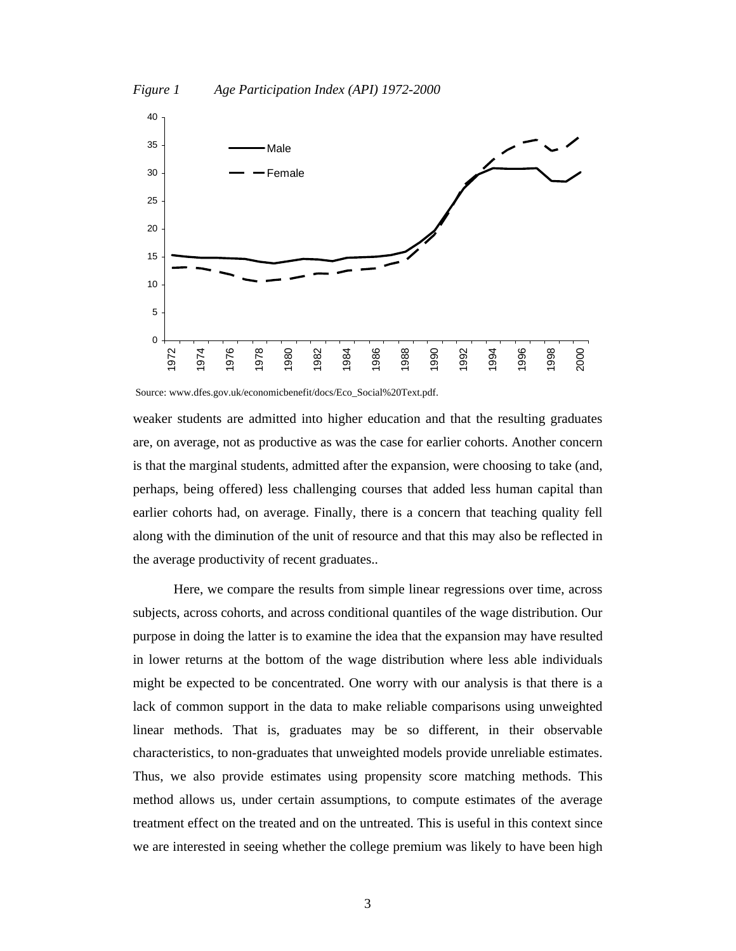



Source: www.dfes.gov.uk/economicbenefit/docs/Eco\_Social%20Text.pdf.

weaker students are admitted into higher education and that the resulting graduates are, on average, not as productive as was the case for earlier cohorts. Another concern is that the marginal students, admitted after the expansion, were choosing to take (and, perhaps, being offered) less challenging courses that added less human capital than earlier cohorts had, on average. Finally, there is a concern that teaching quality fell along with the diminution of the unit of resource and that this may also be reflected in the average productivity of recent graduates..

Here, we compare the results from simple linear regressions over time, across subjects, across cohorts, and across conditional quantiles of the wage distribution. Our purpose in doing the latter is to examine the idea that the expansion may have resulted in lower returns at the bottom of the wage distribution where less able individuals might be expected to be concentrated. One worry with our analysis is that there is a lack of common support in the data to make reliable comparisons using unweighted linear methods. That is, graduates may be so different, in their observable characteristics, to non-graduates that unweighted models provide unreliable estimates. Thus, we also provide estimates using propensity score matching methods. This method allows us, under certain assumptions, to compute estimates of the average treatment effect on the treated and on the untreated. This is useful in this context since we are interested in seeing whether the college premium was likely to have been high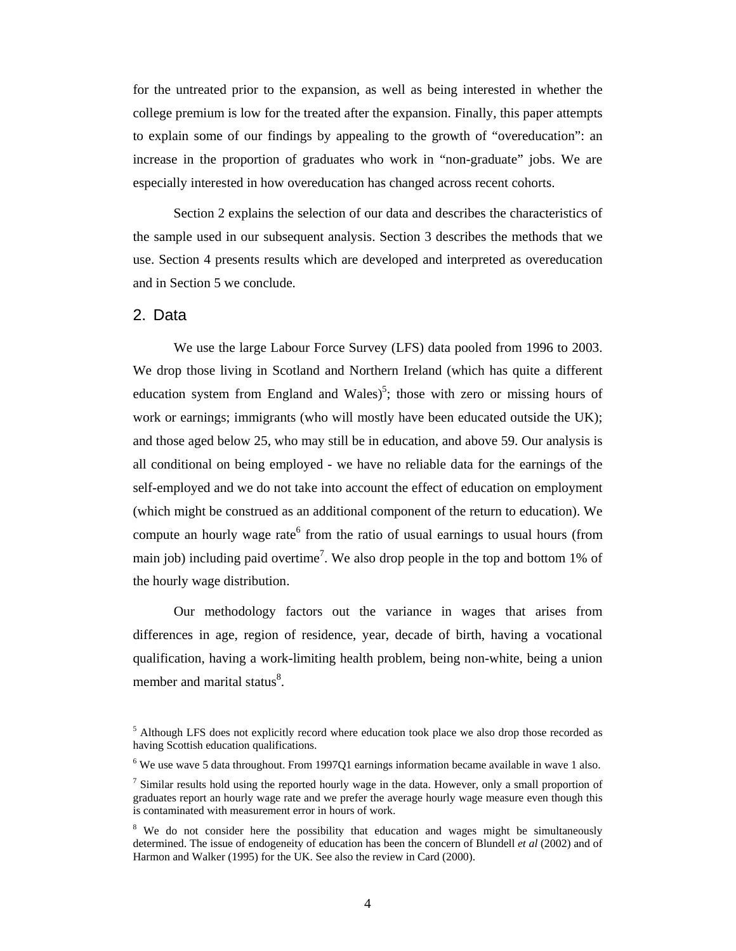for the untreated prior to the expansion, as well as being interested in whether the college premium is low for the treated after the expansion. Finally, this paper attempts to explain some of our findings by appealing to the growth of "overeducation": an increase in the proportion of graduates who work in "non-graduate" jobs. We are especially interested in how overeducation has changed across recent cohorts.

Section 2 explains the selection of our data and describes the characteristics of the sample used in our subsequent analysis. Section 3 describes the methods that we use. Section 4 presents results which are developed and interpreted as overeducation and in Section 5 we conclude.

#### 2. Data

We use the large Labour Force Survey (LFS) data pooled from 1996 to 2003. We drop those living in Scotland and Northern Ireland (which has quite a different education system from England and Wales)<sup>5</sup>; those with zero or missing hours of work or earnings; immigrants (who will mostly have been educated outside the UK); and those aged below 25, who may still be in education, and above 59. Our analysis is all conditional on being employed - we have no reliable data for the earnings of the self-employed and we do not take into account the effect of education on employment (which might be construed as an additional component of the return to education). We compute an hourly wage rate<sup>6</sup> from the ratio of usual earnings to usual hours (from main job) including paid overtime<sup>7</sup>. We also drop people in the top and bottom 1% of the hourly wage distribution.

Our methodology factors out the variance in wages that arises from differences in age, region of residence, year, decade of birth, having a vocational qualification, having a work-limiting health problem, being non-white, being a union member and marital status<sup>8</sup>.

<sup>&</sup>lt;sup>5</sup> Although LFS does not explicitly record where education took place we also drop those recorded as having Scottish education qualifications.

 $6$  We use wave 5 data throughout. From 1997Q1 earnings information became available in wave 1 also.

 $<sup>7</sup>$  Similar results hold using the reported hourly wage in the data. However, only a small proportion of</sup> graduates report an hourly wage rate and we prefer the average hourly wage measure even though this is contaminated with measurement error in hours of work.

<sup>&</sup>lt;sup>8</sup> We do not consider here the possibility that education and wages might be simultaneously determined. The issue of endogeneity of education has been the concern of Blundell *et al* (2002) and of Harmon and Walker (1995) for the UK. See also the review in Card (2000).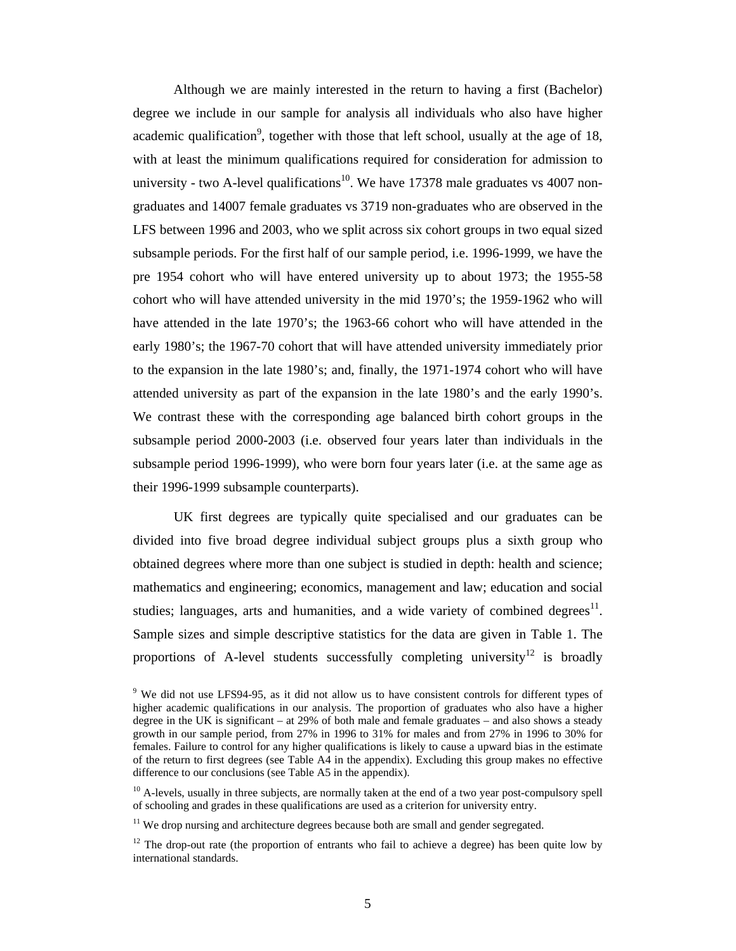Although we are mainly interested in the return to having a first (Bachelor) degree we include in our sample for analysis all individuals who also have higher academic qualification<sup>9</sup>, together with those that left school, usually at the age of 18, with at least the minimum qualifications required for consideration for admission to university - two A-level qualifications<sup>10</sup>. We have 17378 male graduates vs 4007 nongraduates and 14007 female graduates vs 3719 non-graduates who are observed in the LFS between 1996 and 2003, who we split across six cohort groups in two equal sized subsample periods. For the first half of our sample period, i.e. 1996-1999, we have the pre 1954 cohort who will have entered university up to about 1973; the 1955-58 cohort who will have attended university in the mid 1970's; the 1959-1962 who will have attended in the late 1970's; the 1963-66 cohort who will have attended in the early 1980's; the 1967-70 cohort that will have attended university immediately prior to the expansion in the late 1980's; and, finally, the 1971-1974 cohort who will have attended university as part of the expansion in the late 1980's and the early 1990's. We contrast these with the corresponding age balanced birth cohort groups in the subsample period 2000-2003 (i.e. observed four years later than individuals in the subsample period 1996-1999), who were born four years later (i.e. at the same age as their 1996-1999 subsample counterparts).

UK first degrees are typically quite specialised and our graduates can be divided into five broad degree individual subject groups plus a sixth group who obtained degrees where more than one subject is studied in depth: health and science; mathematics and engineering; economics, management and law; education and social studies; languages, arts and humanities, and a wide variety of combined degrees $<sup>11</sup>$ .</sup> Sample sizes and simple descriptive statistics for the data are given in Table 1. The proportions of A-level students successfully completing university<sup>12</sup> is broadly

<sup>&</sup>lt;sup>9</sup> We did not use LFS94-95, as it did not allow us to have consistent controls for different types of higher academic qualifications in our analysis. The proportion of graduates who also have a higher degree in the UK is significant – at 29% of both male and female graduates – and also shows a steady growth in our sample period, from 27% in 1996 to 31% for males and from 27% in 1996 to 30% for females. Failure to control for any higher qualifications is likely to cause a upward bias in the estimate of the return to first degrees (see Table A4 in the appendix). Excluding this group makes no effective difference to our conclusions (see Table A5 in the appendix).

 $10$  A-levels, usually in three subjects, are normally taken at the end of a two year post-compulsory spell of schooling and grades in these qualifications are used as a criterion for university entry.

 $11$  We drop nursing and architecture degrees because both are small and gender segregated.

 $12$  The drop-out rate (the proportion of entrants who fail to achieve a degree) has been quite low by international standards.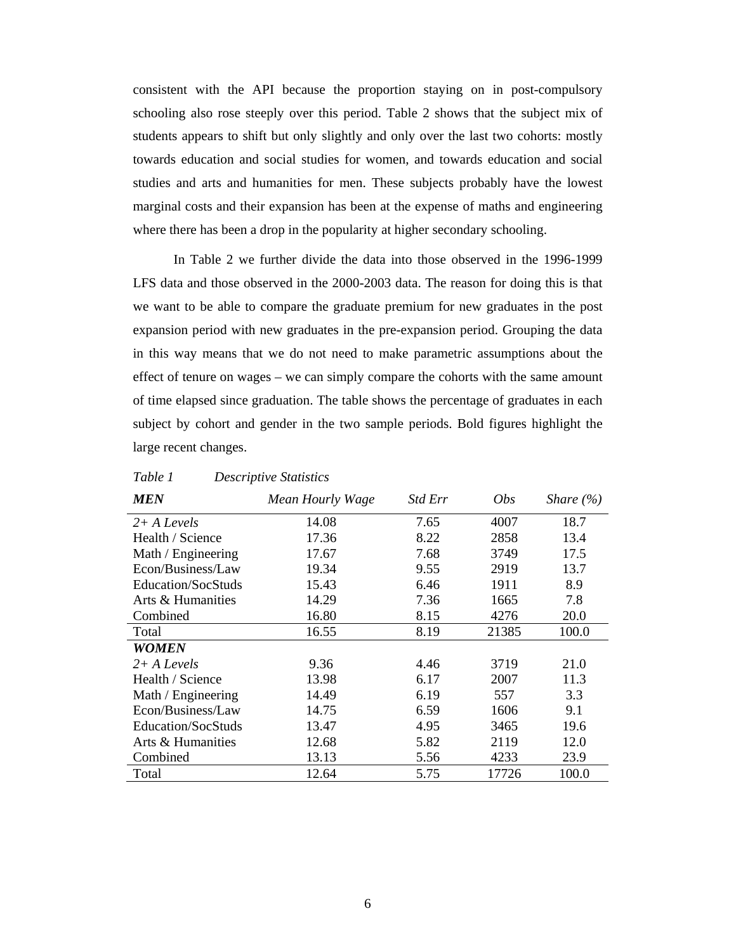consistent with the API because the proportion staying on in post-compulsory schooling also rose steeply over this period. Table 2 shows that the subject mix of students appears to shift but only slightly and only over the last two cohorts: mostly towards education and social studies for women, and towards education and social studies and arts and humanities for men. These subjects probably have the lowest marginal costs and their expansion has been at the expense of maths and engineering where there has been a drop in the popularity at higher secondary schooling.

In Table 2 we further divide the data into those observed in the 1996-1999 LFS data and those observed in the 2000-2003 data. The reason for doing this is that we want to be able to compare the graduate premium for new graduates in the post expansion period with new graduates in the pre-expansion period. Grouping the data in this way means that we do not need to make parametric assumptions about the effect of tenure on wages – we can simply compare the cohorts with the same amount of time elapsed since graduation. The table shows the percentage of graduates in each subject by cohort and gender in the two sample periods. Bold figures highlight the large recent changes.

| <b>MEN</b>         | Mean Hourly Wage | <i>Std Err</i> | <i>Obs</i> | Share $(\% )$ |
|--------------------|------------------|----------------|------------|---------------|
| $2+A$ Levels       | 14.08            | 7.65           | 4007       | 18.7          |
| Health / Science   | 17.36            | 8.22           | 2858       | 13.4          |
| Math / Engineering | 17.67            | 7.68           | 3749       | 17.5          |
| Econ/Business/Law  | 19.34            | 9.55           | 2919       | 13.7          |
| Education/SocStuds | 15.43            | 6.46           | 1911       | 8.9           |
| Arts & Humanities  | 14.29            | 7.36           | 1665       | 7.8           |
| Combined           | 16.80            | 8.15           | 4276       | 20.0          |
| Total              | 16.55            | 8.19           | 21385      | 100.0         |
| WOMEN              |                  |                |            |               |
| $2+A$ Levels       | 9.36             | 4.46           | 3719       | 21.0          |
| Health / Science   | 13.98            | 6.17           | 2007       | 11.3          |
| Math / Engineering | 14.49            | 6.19           | 557        | 3.3           |
| Econ/Business/Law  | 14.75            | 6.59           | 1606       | 9.1           |
| Education/SocStuds | 13.47            | 4.95           | 3465       | 19.6          |
| Arts & Humanities  | 12.68            | 5.82           | 2119       | 12.0          |
| Combined           | 13.13            | 5.56           | 4233       | 23.9          |
| Total              | 12.64            | 5.75           | 17726      | 100.0         |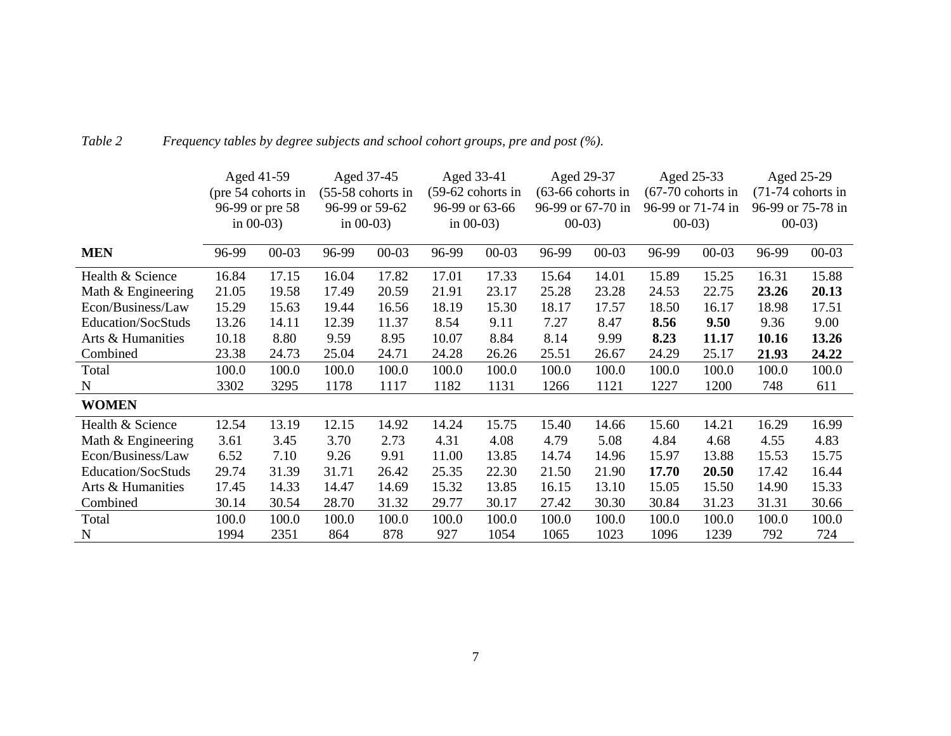|                    |       | Aged 41-59         |       | Aged 37-45          |       | Aged 33-41        |       | Aged 29-37          |       | Aged 25-33          |       | Aged 25-29          |
|--------------------|-------|--------------------|-------|---------------------|-------|-------------------|-------|---------------------|-------|---------------------|-------|---------------------|
|                    |       | (pre 54 cohorts in |       | $(55-58$ cohorts in |       | (59-62 cohorts in |       | $(63-66$ cohorts in |       | $(67-70$ cohorts in |       | $(71-74$ cohorts in |
|                    |       | 96-99 or pre 58    |       | 96-99 or 59-62      |       | 96-99 or 63-66    |       | 96-99 or 67-70 in   |       | 96-99 or 71-74 in   |       | 96-99 or 75-78 in   |
|                    |       | in $00-03$ )       |       | in $00-03$ )        |       | in $00-03$ )      |       | $00-03$ )           |       | $00-03$             |       | $00-03$             |
| <b>MEN</b>         | 96-99 | $00 - 03$          | 96-99 | $00 - 03$           | 96-99 | $00 - 03$         | 96-99 | $00 - 03$           | 96-99 | $00 - 03$           | 96-99 | $00 - 03$           |
| Health & Science   | 16.84 | 17.15              | 16.04 | 17.82               | 17.01 | 17.33             | 15.64 | 14.01               | 15.89 | 15.25               | 16.31 | 15.88               |
| Math & Engineering | 21.05 | 19.58              | 17.49 | 20.59               | 21.91 | 23.17             | 25.28 | 23.28               | 24.53 | 22.75               | 23.26 | 20.13               |
| Econ/Business/Law  | 15.29 | 15.63              | 19.44 | 16.56               | 18.19 | 15.30             | 18.17 | 17.57               | 18.50 | 16.17               | 18.98 | 17.51               |
| Education/SocStuds | 13.26 | 14.11              | 12.39 | 11.37               | 8.54  | 9.11              | 7.27  | 8.47                | 8.56  | 9.50                | 9.36  | 9.00                |
| Arts & Humanities  | 10.18 | 8.80               | 9.59  | 8.95                | 10.07 | 8.84              | 8.14  | 9.99                | 8.23  | 11.17               | 10.16 | 13.26               |
| Combined           | 23.38 | 24.73              | 25.04 | 24.71               | 24.28 | 26.26             | 25.51 | 26.67               | 24.29 | 25.17               | 21.93 | 24.22               |
| Total              | 100.0 | 100.0              | 100.0 | 100.0               | 100.0 | 100.0             | 100.0 | 100.0               | 100.0 | 100.0               | 100.0 | 100.0               |
| $\mathbf N$        | 3302  | 3295               | 1178  | 1117                | 1182  | 1131              | 1266  | 1121                | 1227  | 1200                | 748   | 611                 |
| <b>WOMEN</b>       |       |                    |       |                     |       |                   |       |                     |       |                     |       |                     |
| Health & Science   | 12.54 | 13.19              | 12.15 | 14.92               | 14.24 | 15.75             | 15.40 | 14.66               | 15.60 | 14.21               | 16.29 | 16.99               |
| Math & Engineering | 3.61  | 3.45               | 3.70  | 2.73                | 4.31  | 4.08              | 4.79  | 5.08                | 4.84  | 4.68                | 4.55  | 4.83                |
| Econ/Business/Law  | 6.52  | 7.10               | 9.26  | 9.91                | 11.00 | 13.85             | 14.74 | 14.96               | 15.97 | 13.88               | 15.53 | 15.75               |
| Education/SocStuds | 29.74 | 31.39              | 31.71 | 26.42               | 25.35 | 22.30             | 21.50 | 21.90               | 17.70 | 20.50               | 17.42 | 16.44               |
| Arts & Humanities  | 17.45 | 14.33              | 14.47 | 14.69               | 15.32 | 13.85             | 16.15 | 13.10               | 15.05 | 15.50               | 14.90 | 15.33               |
| Combined           | 30.14 | 30.54              | 28.70 | 31.32               | 29.77 | 30.17             | 27.42 | 30.30               | 30.84 | 31.23               | 31.31 | 30.66               |
| Total              | 100.0 | 100.0              | 100.0 | 100.0               | 100.0 | 100.0             | 100.0 | 100.0               | 100.0 | 100.0               | 100.0 | 100.0               |
| N                  | 1994  | 2351               | 864   | 878                 | 927   | 1054              | 1065  | 1023                | 1096  | 1239                | 792   | 724                 |

### *Table 2 Frequency tables by degree subjects and school cohort groups, pre and post (%).*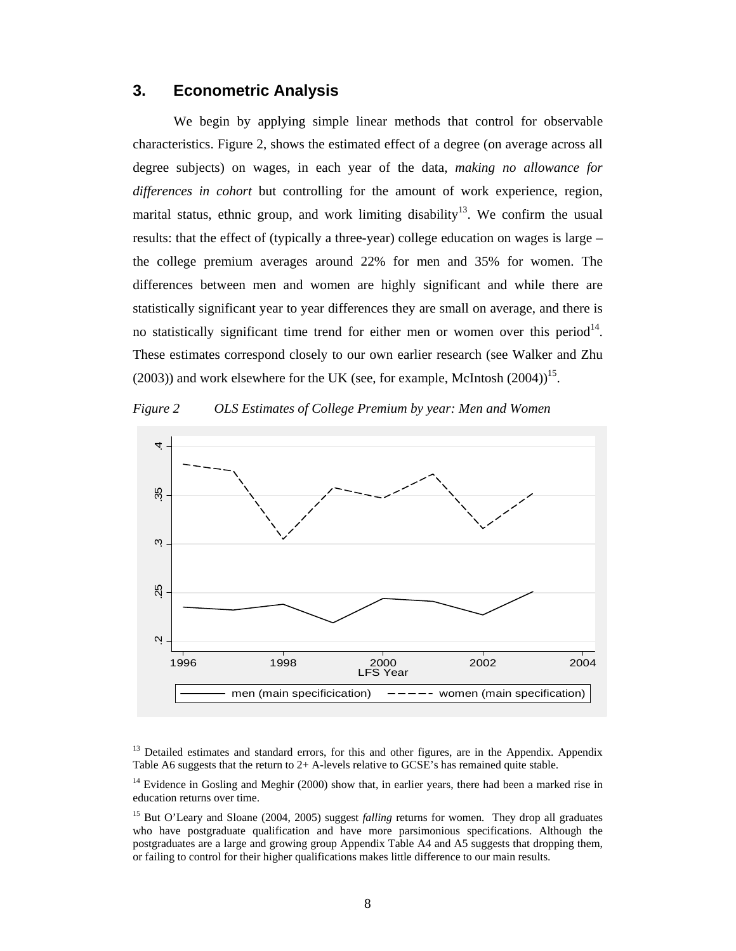#### **3. Econometric Analysis**

We begin by applying simple linear methods that control for observable characteristics. Figure 2, shows the estimated effect of a degree (on average across all degree subjects) on wages, in each year of the data, *making no allowance for differences in cohort* but controlling for the amount of work experience, region, marital status, ethnic group, and work limiting disability<sup>13</sup>. We confirm the usual results: that the effect of (typically a three-year) college education on wages is large – the college premium averages around 22% for men and 35% for women. The differences between men and women are highly significant and while there are statistically significant year to year differences they are small on average, and there is no statistically significant time trend for either men or women over this period $14$ . These estimates correspond closely to our own earlier research (see Walker and Zhu  $(2003)$ ) and work elsewhere for the UK (see, for example, McIntosh  $(2004)$ <sup>15</sup>.





<sup>13</sup> Detailed estimates and standard errors, for this and other figures, are in the Appendix. Appendix Table A6 suggests that the return to 2+ A-levels relative to GCSE's has remained quite stable.

 $14$  Evidence in Gosling and Meghir (2000) show that, in earlier years, there had been a marked rise in education returns over time.

15 But O'Leary and Sloane (2004, 2005) suggest *falling* returns for women*.* They drop all graduates who have postgraduate qualification and have more parsimonious specifications. Although the postgraduates are a large and growing group Appendix Table A4 and A5 suggests that dropping them, or failing to control for their higher qualifications makes little difference to our main results.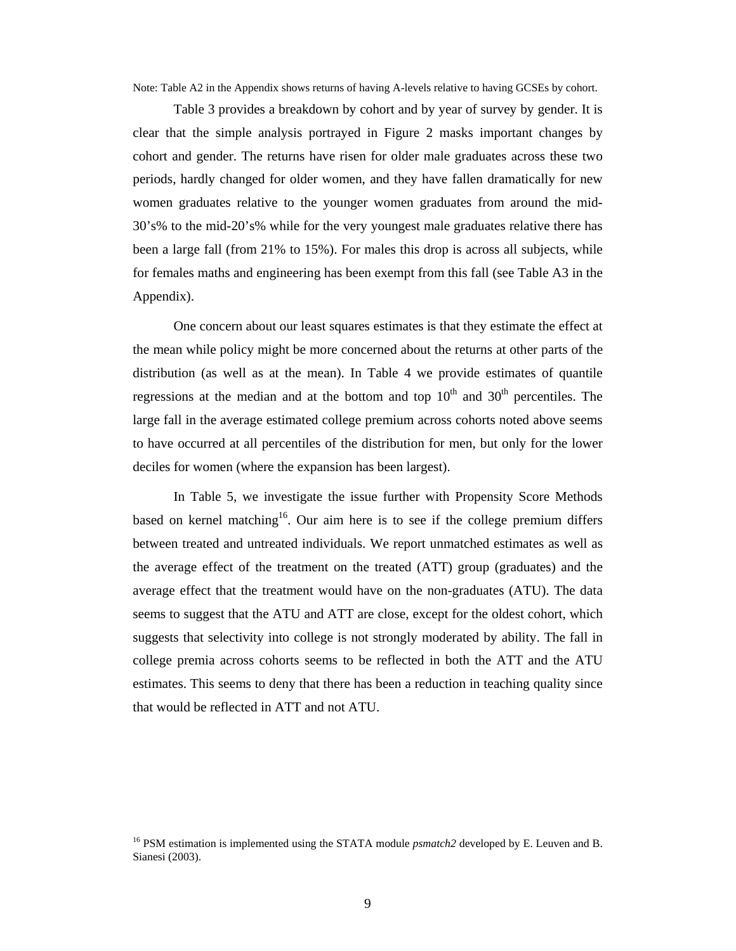Note: Table A2 in the Appendix shows returns of having A-levels relative to having GCSEs by cohort.

Table 3 provides a breakdown by cohort and by year of survey by gender. It is clear that the simple analysis portrayed in Figure 2 masks important changes by cohort and gender. The returns have risen for older male graduates across these two periods, hardly changed for older women, and they have fallen dramatically for new women graduates relative to the younger women graduates from around the mid-30's% to the mid-20's% while for the very youngest male graduates relative there has been a large fall (from 21% to 15%). For males this drop is across all subjects, while for females maths and engineering has been exempt from this fall (see Table A3 in the Appendix).

One concern about our least squares estimates is that they estimate the effect at the mean while policy might be more concerned about the returns at other parts of the distribution (as well as at the mean). In Table 4 we provide estimates of quantile regressions at the median and at the bottom and top  $10<sup>th</sup>$  and  $30<sup>th</sup>$  percentiles. The large fall in the average estimated college premium across cohorts noted above seems to have occurred at all percentiles of the distribution for men, but only for the lower deciles for women (where the expansion has been largest).

In Table 5, we investigate the issue further with Propensity Score Methods based on kernel matching<sup>16</sup>. Our aim here is to see if the college premium differs between treated and untreated individuals. We report unmatched estimates as well as the average effect of the treatment on the treated (ATT) group (graduates) and the average effect that the treatment would have on the non-graduates (ATU). The data seems to suggest that the ATU and ATT are close, except for the oldest cohort, which suggests that selectivity into college is not strongly moderated by ability. The fall in college premia across cohorts seems to be reflected in both the ATT and the ATU estimates. This seems to deny that there has been a reduction in teaching quality since that would be reflected in ATT and not ATU.

<sup>&</sup>lt;sup>16</sup> PSM estimation is implemented using the STATA module *psmatch2* developed by E. Leuven and B. Sianesi (2003).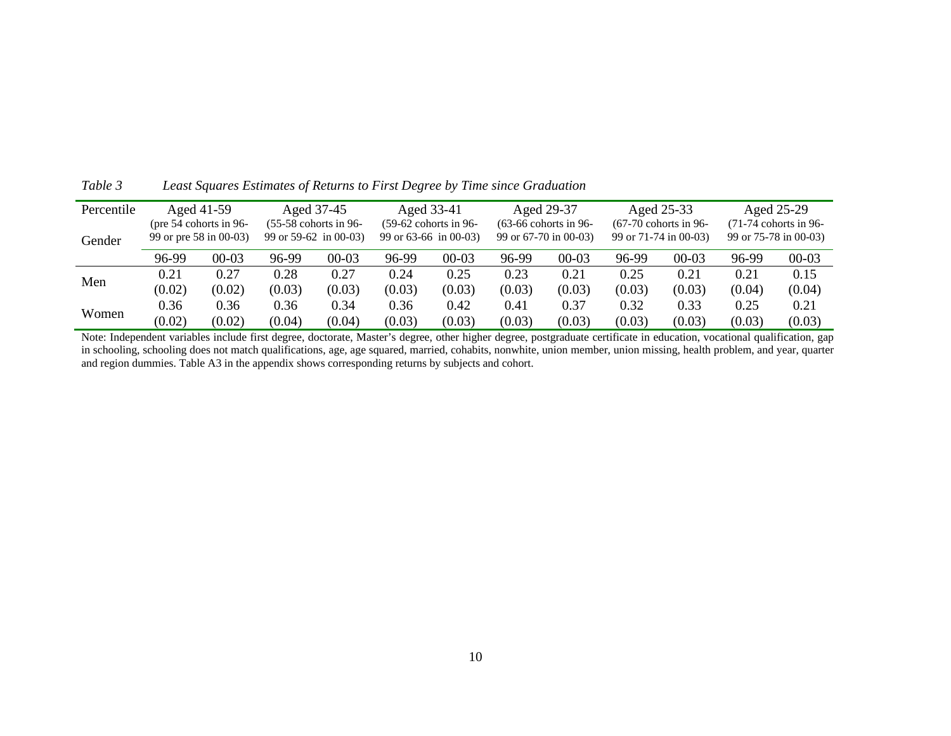| Percentile |        | Aged 41-59                                                                   | Aged 37-45             |         |                         | Aged 33-41 |                         | Aged 29-37 |                         | Aged 25-33              | Aged 25-29            |         |
|------------|--------|------------------------------------------------------------------------------|------------------------|---------|-------------------------|------------|-------------------------|------------|-------------------------|-------------------------|-----------------------|---------|
|            |        | $(55-58$ cohorts in 96-<br>(pre 54 cohorts in 96-<br>99 or $59-62$ in 00-03) |                        |         | $(59-62$ cohorts in 96- |            | $(63-66$ cohorts in 96- |            | $(67-70$ cohorts in 96- | $(71-74$ cohorts in 96- |                       |         |
| Gender     |        |                                                                              | 99 or pre 58 in 00-03) |         | 99 or $63-66$ in 00-03) |            | 99 or 67-70 in 00-03)   |            | 99 or 71-74 in 00-03)   |                         | 99 or 75-78 in 00-03) |         |
|            | 96-99  | $00-03$                                                                      | 96-99                  | $00-03$ | 96-99                   | 00-03      | 96-99                   | $00-03$    | 96-99                   | $00-03$                 | 96-99                 | $00-03$ |
| Men        | 0.21   | 0.27                                                                         | 0.28                   | 0.27    | 0.24                    | 0.25       | 0.23                    | 0.21       | 0.25                    | 0.21                    | 0.21                  | 0.15    |
|            | (0.02) | (0.02)                                                                       | (0.03)                 | (0.03)  | (0.03)                  | (0.03)     | (0.03)                  | (0.03)     | (0.03)                  | (0.03)                  | (0.04)                | (0.04)  |
| Women      | 0.36   | 0.36                                                                         | 0.36                   | 0.34    | 0.36                    | 0.42       | 0.41                    | 0.37       | 0.32                    | 0.33                    | 0.25                  | 0.21    |
|            | (0.02) | (0.02)                                                                       | (0.04)                 | (0.04)  | (0.03)                  | (0.03)     | (0.03)                  | (0.03)     | (0.03)                  | (0.03)                  | (0.03)                | (0.03)  |

*Table 3 Least Squares Estimates of Returns to First Degree by Time since Graduation* 

Note: Independent variables include first degree, doctorate, Master's degree, other higher degree, postgraduate certificate in education, vocational qualification, gap in schooling, schooling does not match qualifications, age, age squared, married, cohabits, nonwhite, union member, union missing, health problem, and year, quarter and region dummies. Table A3 in the appendix shows corresponding returns by subjects and cohort.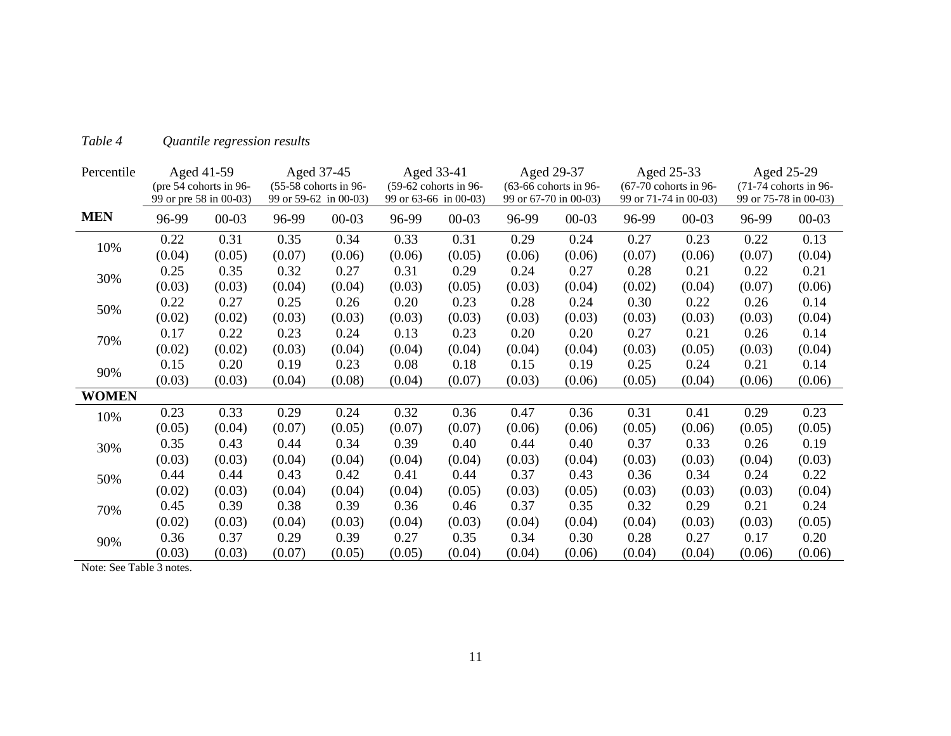| Percentile   |                        | Aged 41-59             |                       | Aged 37-45              |        | Aged 33-41              | Aged 29-37            |                         |                       | Aged 25-33              |        | Aged 25-29            |
|--------------|------------------------|------------------------|-----------------------|-------------------------|--------|-------------------------|-----------------------|-------------------------|-----------------------|-------------------------|--------|-----------------------|
|              |                        | (pre 54 cohorts in 96- |                       | $(55-58$ cohorts in 96- |        | $(59-62$ cohorts in 96- |                       | $(63-66$ cohorts in 96- |                       | $(67-70$ cohorts in 96- |        | (71-74 cohorts in 96- |
|              | 99 or pre 58 in 00-03) |                        | 99 or 59-62 in 00-03) |                         |        | 99 or 63-66 in 00-03)   | 99 or 67-70 in 00-03) |                         | 99 or 71-74 in 00-03) |                         |        | 99 or 75-78 in 00-03) |
| <b>MEN</b>   | 96-99                  | $00 - 03$              | 96-99                 | $00 - 03$               | 96-99  | $00 - 03$               | 96-99                 | $00 - 03$               | 96-99                 | $00 - 03$               | 96-99  | $00 - 03$             |
| 10%          | 0.22                   | 0.31                   | 0.35                  | 0.34                    | 0.33   | 0.31                    | 0.29                  | 0.24                    | 0.27                  | 0.23                    | 0.22   | 0.13                  |
|              | (0.04)                 | (0.05)                 | (0.07)                | (0.06)                  | (0.06) | (0.05)                  | (0.06)                | (0.06)                  | (0.07)                | (0.06)                  | (0.07) | (0.04)                |
| 30%          | 0.25                   | 0.35                   | 0.32                  | 0.27                    | 0.31   | 0.29                    | 0.24                  | 0.27                    | 0.28                  | 0.21                    | 0.22   | 0.21                  |
|              | (0.03)                 | (0.03)                 | (0.04)                | (0.04)                  | (0.03) | (0.05)                  | (0.03)                | (0.04)                  | (0.02)                | (0.04)                  | (0.07) | (0.06)                |
| 50%          | 0.22                   | 0.27                   | 0.25                  | 0.26                    | 0.20   | 0.23                    | 0.28                  | 0.24                    | 0.30                  | 0.22                    | 0.26   | 0.14                  |
|              | (0.02)                 | (0.02)                 | (0.03)                | (0.03)                  | (0.03) | (0.03)                  | (0.03)                | (0.03)                  | (0.03)                | (0.03)                  | (0.03) | (0.04)                |
| 70%          | 0.17                   | 0.22                   | 0.23                  | 0.24                    | 0.13   | 0.23                    | 0.20                  | 0.20                    | 0.27                  | 0.21                    | 0.26   | 0.14                  |
|              | (0.02)                 | (0.02)                 | (0.03)                | (0.04)                  | (0.04) | (0.04)                  | (0.04)                | (0.04)                  | (0.03)                | (0.05)                  | (0.03) | (0.04)                |
|              | 0.15                   | 0.20                   | 0.19                  | 0.23                    | 0.08   | 0.18                    | 0.15                  | 0.19                    | 0.25                  | 0.24                    | 0.21   | 0.14                  |
| 90%          | (0.03)                 | (0.03)                 | (0.04)                | (0.08)                  | (0.04) | (0.07)                  | (0.03)                | (0.06)                  | (0.05)                | (0.04)                  | (0.06) | (0.06)                |
| <b>WOMEN</b> |                        |                        |                       |                         |        |                         |                       |                         |                       |                         |        |                       |
| 10%          | 0.23                   | 0.33                   | 0.29                  | 0.24                    | 0.32   | 0.36                    | 0.47                  | 0.36                    | 0.31                  | 0.41                    | 0.29   | 0.23                  |
|              | (0.05)                 | (0.04)                 | (0.07)                | (0.05)                  | (0.07) | (0.07)                  | (0.06)                | (0.06)                  | (0.05)                | (0.06)                  | (0.05) | (0.05)                |
| 30%          | 0.35                   | 0.43                   | 0.44                  | 0.34                    | 0.39   | 0.40                    | 0.44                  | 0.40                    | 0.37                  | 0.33                    | 0.26   | 0.19                  |
|              | (0.03)                 | (0.03)                 | (0.04)                | (0.04)                  | (0.04) | (0.04)                  | (0.03)                | (0.04)                  | (0.03)                | (0.03)                  | (0.04) | (0.03)                |
| 50%          | 0.44                   | 0.44                   | 0.43                  | 0.42                    | 0.41   | 0.44                    | 0.37                  | 0.43                    | 0.36                  | 0.34                    | 0.24   | 0.22                  |
|              | (0.02)                 | (0.03)                 | (0.04)                | (0.04)                  | (0.04) | (0.05)                  | (0.03)                | (0.05)                  | (0.03)                | (0.03)                  | (0.03) | (0.04)                |
| 70%          | 0.45                   | 0.39                   | 0.38                  | 0.39                    | 0.36   | 0.46                    | 0.37                  | 0.35                    | 0.32                  | 0.29                    | 0.21   | 0.24                  |
|              | (0.02)                 | (0.03)                 | (0.04)                | (0.03)                  | (0.04) | (0.03)                  | (0.04)                | (0.04)                  | (0.04)                | (0.03)                  | (0.03) | (0.05)                |
| 90%          | 0.36                   | 0.37                   | 0.29                  | 0.39                    | 0.27   | 0.35                    | 0.34                  | 0.30                    | 0.28                  | 0.27                    | 0.17   | 0.20                  |
|              | (0.03)                 | (0.03)                 | (0.07)                | (0.05)                  | (0.05) | (0.04)                  | (0.04)                | (0.06)                  | (0.04)                | (0.04)                  | (0.06) | (0.06)                |

### *Table 4 Quantile regression results*

Note: See Table 3 notes.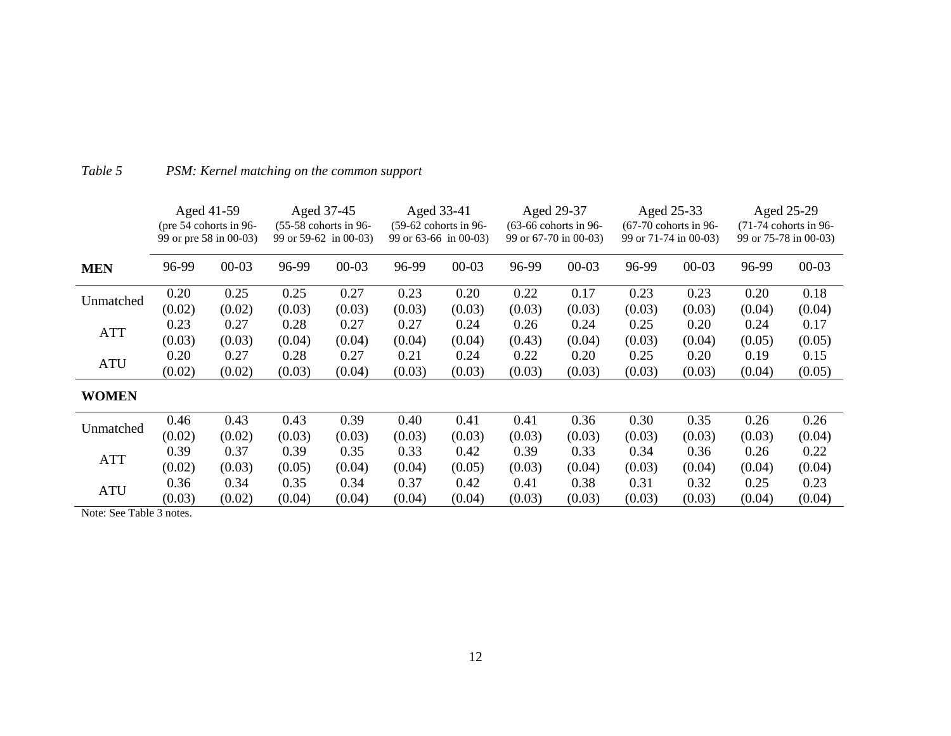|              |        | Aged 41-59<br>(pre $54$ cohorts in 96-<br>99 or pre 58 in 00-03) |        | Aged 37-45<br>$(55-58$ cohorts in 96-<br>99 or 59-62 in 00-03) |        | Aged 33-41<br>$(59-62$ cohorts in 96-<br>99 or $63-66$ in 00-03) |        | Aged 29-37<br>$(63-66$ cohorts in 96-<br>99 or 67-70 in 00-03) |        | Aged 25-33<br>$(67-70$ cohorts in 96-<br>99 or 71-74 in 00-03) |        | Aged 25-29<br>$(71-74$ cohorts in 96-<br>99 or 75-78 in 00-03) |
|--------------|--------|------------------------------------------------------------------|--------|----------------------------------------------------------------|--------|------------------------------------------------------------------|--------|----------------------------------------------------------------|--------|----------------------------------------------------------------|--------|----------------------------------------------------------------|
| <b>MEN</b>   | 96-99  | $00 - 03$                                                        | 96-99  | $00 - 03$                                                      | 96-99  | $00 - 03$                                                        | 96-99  | $00 - 03$                                                      | 96-99  | $00 - 03$                                                      | 96-99  | $00 - 03$                                                      |
|              | 0.20   | 0.25                                                             | 0.25   | 0.27                                                           | 0.23   | 0.20                                                             | 0.22   | 0.17                                                           | 0.23   | 0.23                                                           | 0.20   | 0.18                                                           |
| Unmatched    | (0.02) | (0.02)                                                           | (0.03) | (0.03)                                                         | (0.03) | (0.03)                                                           | (0.03) | (0.03)                                                         | (0.03) | (0.03)                                                         | (0.04) | (0.04)                                                         |
| <b>ATT</b>   | 0.23   | 0.27                                                             | 0.28   | 0.27                                                           | 0.27   | 0.24                                                             | 0.26   | 0.24                                                           | 0.25   | 0.20                                                           | 0.24   | 0.17                                                           |
|              | (0.03) | (0.03)                                                           | (0.04) | (0.04)                                                         | (0.04) | (0.04)                                                           | (0.43) | (0.04)                                                         | (0.03) | (0.04)                                                         | (0.05) | (0.05)                                                         |
| <b>ATU</b>   | 0.20   | 0.27                                                             | 0.28   | 0.27                                                           | 0.21   | 0.24                                                             | 0.22   | 0.20                                                           | 0.25   | 0.20                                                           | 0.19   | 0.15                                                           |
|              | (0.02) | (0.02)                                                           | (0.03) | (0.04)                                                         | (0.03) | (0.03)                                                           | (0.03) | (0.03)                                                         | (0.03) | (0.03)                                                         | (0.04) | (0.05)                                                         |
| <b>WOMEN</b> |        |                                                                  |        |                                                                |        |                                                                  |        |                                                                |        |                                                                |        |                                                                |
| Unmatched    | 0.46   | 0.43                                                             | 0.43   | 0.39                                                           | 0.40   | 0.41                                                             | 0.41   | 0.36                                                           | 0.30   | 0.35                                                           | 0.26   | 0.26                                                           |
|              | (0.02) | (0.02)                                                           | (0.03) | (0.03)                                                         | (0.03) | (0.03)                                                           | (0.03) | (0.03)                                                         | (0.03) | (0.03)                                                         | (0.03) | (0.04)                                                         |
| <b>ATT</b>   | 0.39   | 0.37                                                             | 0.39   | 0.35                                                           | 0.33   | 0.42                                                             | 0.39   | 0.33                                                           | 0.34   | 0.36                                                           | 0.26   | 0.22                                                           |
|              | (0.02) | (0.03)                                                           | (0.05) | (0.04)                                                         | (0.04) | (0.05)                                                           | (0.03) | (0.04)                                                         | (0.03) | (0.04)                                                         | (0.04) | (0.04)                                                         |
|              | 0.36   | 0.34                                                             | 0.35   | 0.34                                                           | 0.37   | 0.42                                                             | 0.41   | 0.38                                                           | 0.31   | 0.32                                                           | 0.25   | 0.23                                                           |
| <b>ATU</b>   | (0.03) | (0.02)                                                           | (0.04) | (0.04)                                                         | (0.04) | (0.04)                                                           | (0.03) | (0.03)                                                         | (0.03) | (0.03)                                                         | (0.04) | (0.04)                                                         |

## *Table 5 PSM: Kernel matching on the common support*

Note: See Table 3 notes.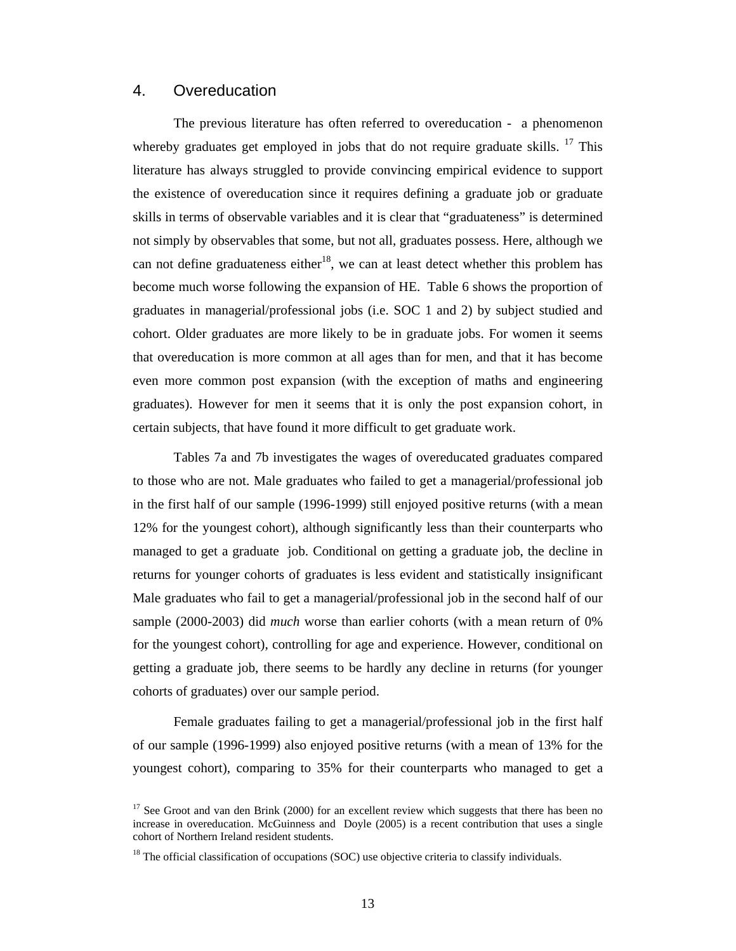#### 4. Overeducation

The previous literature has often referred to overeducation - a phenomenon whereby graduates get employed in jobs that do not require graduate skills.  $17$  This literature has always struggled to provide convincing empirical evidence to support the existence of overeducation since it requires defining a graduate job or graduate skills in terms of observable variables and it is clear that "graduateness" is determined not simply by observables that some, but not all, graduates possess. Here, although we can not define graduateness either<sup>18</sup>, we can at least detect whether this problem has become much worse following the expansion of HE. Table 6 shows the proportion of graduates in managerial/professional jobs (i.e. SOC 1 and 2) by subject studied and cohort. Older graduates are more likely to be in graduate jobs. For women it seems that overeducation is more common at all ages than for men, and that it has become even more common post expansion (with the exception of maths and engineering graduates). However for men it seems that it is only the post expansion cohort, in certain subjects, that have found it more difficult to get graduate work.

Tables 7a and 7b investigates the wages of overeducated graduates compared to those who are not. Male graduates who failed to get a managerial/professional job in the first half of our sample (1996-1999) still enjoyed positive returns (with a mean 12% for the youngest cohort), although significantly less than their counterparts who managed to get a graduate job. Conditional on getting a graduate job, the decline in returns for younger cohorts of graduates is less evident and statistically insignificant Male graduates who fail to get a managerial/professional job in the second half of our sample (2000-2003) did *much* worse than earlier cohorts (with a mean return of 0% for the youngest cohort), controlling for age and experience. However, conditional on getting a graduate job, there seems to be hardly any decline in returns (for younger cohorts of graduates) over our sample period.

Female graduates failing to get a managerial/professional job in the first half of our sample (1996-1999) also enjoyed positive returns (with a mean of 13% for the youngest cohort), comparing to 35% for their counterparts who managed to get a

<sup>&</sup>lt;sup>17</sup> See Groot and van den Brink (2000) for an excellent review which suggests that there has been no increase in overeducation. McGuinness and Doyle (2005) is a recent contribution that uses a single cohort of Northern Ireland resident students.

 $18$  The official classification of occupations (SOC) use objective criteria to classify individuals.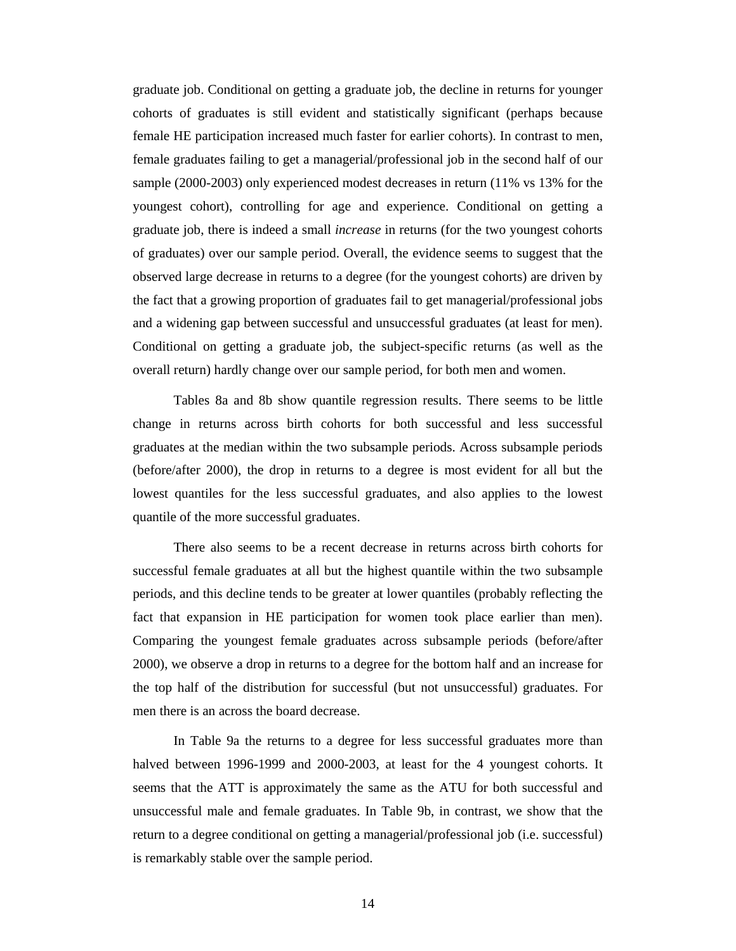graduate job. Conditional on getting a graduate job, the decline in returns for younger cohorts of graduates is still evident and statistically significant (perhaps because female HE participation increased much faster for earlier cohorts). In contrast to men, female graduates failing to get a managerial/professional job in the second half of our sample (2000-2003) only experienced modest decreases in return (11% vs 13% for the youngest cohort), controlling for age and experience. Conditional on getting a graduate job, there is indeed a small *increase* in returns (for the two youngest cohorts of graduates) over our sample period. Overall, the evidence seems to suggest that the observed large decrease in returns to a degree (for the youngest cohorts) are driven by the fact that a growing proportion of graduates fail to get managerial/professional jobs and a widening gap between successful and unsuccessful graduates (at least for men). Conditional on getting a graduate job, the subject-specific returns (as well as the overall return) hardly change over our sample period, for both men and women.

Tables 8a and 8b show quantile regression results. There seems to be little change in returns across birth cohorts for both successful and less successful graduates at the median within the two subsample periods. Across subsample periods (before/after 2000), the drop in returns to a degree is most evident for all but the lowest quantiles for the less successful graduates, and also applies to the lowest quantile of the more successful graduates.

There also seems to be a recent decrease in returns across birth cohorts for successful female graduates at all but the highest quantile within the two subsample periods, and this decline tends to be greater at lower quantiles (probably reflecting the fact that expansion in HE participation for women took place earlier than men). Comparing the youngest female graduates across subsample periods (before/after 2000), we observe a drop in returns to a degree for the bottom half and an increase for the top half of the distribution for successful (but not unsuccessful) graduates. For men there is an across the board decrease.

In Table 9a the returns to a degree for less successful graduates more than halved between 1996-1999 and 2000-2003, at least for the 4 youngest cohorts. It seems that the ATT is approximately the same as the ATU for both successful and unsuccessful male and female graduates. In Table 9b, in contrast, we show that the return to a degree conditional on getting a managerial/professional job (i.e. successful) is remarkably stable over the sample period.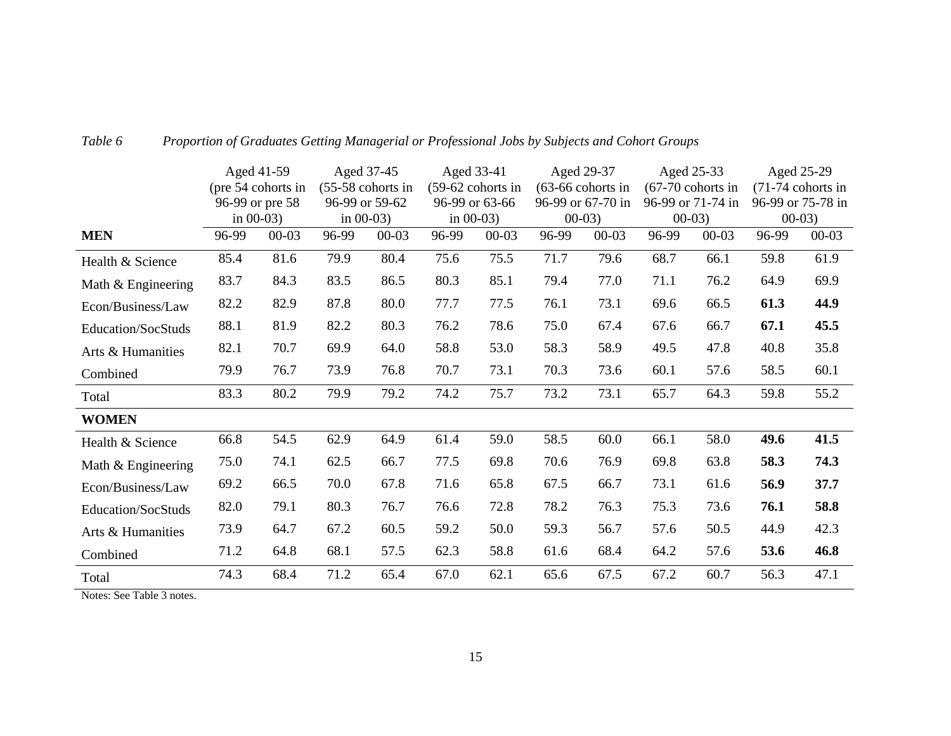|                    |       | Aged 41-59         |       | Aged 37-45          |       | Aged 33-41        |       | Aged 29-37          |       | Aged 25-33          |       | Aged 25-29          |
|--------------------|-------|--------------------|-------|---------------------|-------|-------------------|-------|---------------------|-------|---------------------|-------|---------------------|
|                    |       | (pre 54 cohorts in |       | $(55-58$ cohorts in |       | (59-62 cohorts in |       | $(63-66$ cohorts in |       | $(67-70$ cohorts in |       | $(71-74$ cohorts in |
|                    |       | 96-99 or pre 58    |       | 96-99 or 59-62      |       | 96-99 or 63-66    |       | 96-99 or 67-70 in   |       | 96-99 or 71-74 in   |       | 96-99 or 75-78 in   |
|                    |       | in $00-03$ )       |       | in $00-03$ )        |       | in $00-03$ )      |       | $00-03$             |       | $00-03$             |       | $00-03$             |
| <b>MEN</b>         | 96-99 | $00 - 03$          | 96-99 | $00 - 03$           | 96-99 | $00 - 03$         | 96-99 | $00 - 03$           | 96-99 | $00 - 03$           | 96-99 | $00 - 03$           |
| Health & Science   | 85.4  | 81.6               | 79.9  | 80.4                | 75.6  | 75.5              | 71.7  | 79.6                | 68.7  | 66.1                | 59.8  | 61.9                |
| Math & Engineering | 83.7  | 84.3               | 83.5  | 86.5                | 80.3  | 85.1              | 79.4  | 77.0                | 71.1  | 76.2                | 64.9  | 69.9                |
| Econ/Business/Law  | 82.2  | 82.9               | 87.8  | 80.0                | 77.7  | 77.5              | 76.1  | 73.1                | 69.6  | 66.5                | 61.3  | 44.9                |
| Education/SocStuds | 88.1  | 81.9               | 82.2  | 80.3                | 76.2  | 78.6              | 75.0  | 67.4                | 67.6  | 66.7                | 67.1  | 45.5                |
| Arts & Humanities  | 82.1  | 70.7               | 69.9  | 64.0                | 58.8  | 53.0              | 58.3  | 58.9                | 49.5  | 47.8                | 40.8  | 35.8                |
| Combined           | 79.9  | 76.7               | 73.9  | 76.8                | 70.7  | 73.1              | 70.3  | 73.6                | 60.1  | 57.6                | 58.5  | 60.1                |
| Total              | 83.3  | 80.2               | 79.9  | 79.2                | 74.2  | 75.7              | 73.2  | 73.1                | 65.7  | 64.3                | 59.8  | 55.2                |
| <b>WOMEN</b>       |       |                    |       |                     |       |                   |       |                     |       |                     |       |                     |
| Health & Science   | 66.8  | 54.5               | 62.9  | 64.9                | 61.4  | 59.0              | 58.5  | 60.0                | 66.1  | 58.0                | 49.6  | 41.5                |
| Math & Engineering | 75.0  | 74.1               | 62.5  | 66.7                | 77.5  | 69.8              | 70.6  | 76.9                | 69.8  | 63.8                | 58.3  | 74.3                |
| Econ/Business/Law  | 69.2  | 66.5               | 70.0  | 67.8                | 71.6  | 65.8              | 67.5  | 66.7                | 73.1  | 61.6                | 56.9  | 37.7                |
| Education/SocStuds | 82.0  | 79.1               | 80.3  | 76.7                | 76.6  | 72.8              | 78.2  | 76.3                | 75.3  | 73.6                | 76.1  | 58.8                |
| Arts & Humanities  | 73.9  | 64.7               | 67.2  | 60.5                | 59.2  | 50.0              | 59.3  | 56.7                | 57.6  | 50.5                | 44.9  | 42.3                |
| Combined           | 71.2  | 64.8               | 68.1  | 57.5                | 62.3  | 58.8              | 61.6  | 68.4                | 64.2  | 57.6                | 53.6  | 46.8                |
| Total              | 74.3  | 68.4               | 71.2  | 65.4                | 67.0  | 62.1              | 65.6  | 67.5                | 67.2  | 60.7                | 56.3  | 47.1                |

#### *Table 6Proportion of Graduates Getting Managerial or Professional Jobs by Subjects and Cohort Groups*

Notes: See Table 3 notes.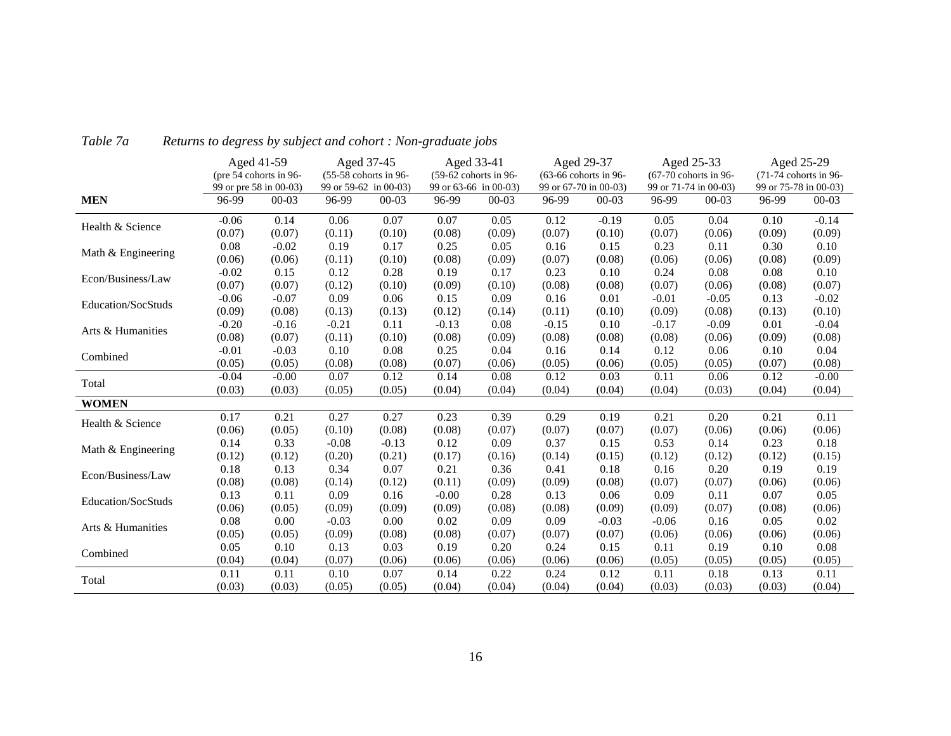|                    |         | Aged 41-59<br>(pre 54 cohorts in 96- |         | Aged 37-45<br>(55-58 cohorts in 96- | Aged 33-41<br>(59-62 cohorts in 96- |           |                       | Aged 29-37<br>(63-66 cohorts in 96- |                       | Aged 25-33<br>(67-70 cohorts in 96- |        | Aged 25-29<br>(71-74 cohorts in 96- |
|--------------------|---------|--------------------------------------|---------|-------------------------------------|-------------------------------------|-----------|-----------------------|-------------------------------------|-----------------------|-------------------------------------|--------|-------------------------------------|
|                    |         | 99 or pre 58 in 00-03)               |         | 99 or 59-62 in 00-03)               | 99 or 63-66 in 00-03)               |           | 99 or 67-70 in 00-03) |                                     | 99 or 71-74 in 00-03) |                                     |        | 99 or 75-78 in 00-03)               |
| <b>MEN</b>         | 96-99   | $00 - 03$                            | 96-99   | $00 - 03$                           | 96-99                               | $00 - 03$ | 96-99                 | $00 - 03$                           | 96-99                 | $00 - 03$                           | 96-99  | $00 - 03$                           |
| Health & Science   | $-0.06$ | 0.14                                 | 0.06    | 0.07                                | 0.07                                | 0.05      | 0.12                  | $-0.19$                             | 0.05                  | 0.04                                | 0.10   | $-0.14$                             |
|                    | (0.07)  | (0.07)                               | (0.11)  | (0.10)                              | (0.08)                              | (0.09)    | (0.07)                | (0.10)                              | (0.07)                | (0.06)                              | (0.09) | (0.09)                              |
| Math & Engineering | 0.08    | $-0.02$                              | 0.19    | 0.17                                | 0.25                                | 0.05      | 0.16                  | 0.15                                | 0.23                  | 0.11                                | 0.30   | 0.10                                |
|                    | (0.06)  | (0.06)                               | (0.11)  | (0.10)                              | (0.08)                              | (0.09)    | (0.07)                | (0.08)                              | (0.06)                | (0.06)                              | (0.08) | (0.09)                              |
| Econ/Business/Law  | $-0.02$ | 0.15                                 | 0.12    | 0.28                                | 0.19                                | 0.17      | 0.23                  | 0.10                                | 0.24                  | 0.08                                | 0.08   | 0.10                                |
|                    | (0.07)  | (0.07)                               | (0.12)  | (0.10)                              | (0.09)                              | (0.10)    | (0.08)                | (0.08)                              | (0.07)                | (0.06)                              | (0.08) | (0.07)                              |
| Education/SocStuds | $-0.06$ | $-0.07$                              | 0.09    | 0.06                                | 0.15                                | 0.09      | 0.16                  | 0.01                                | $-0.01$               | $-0.05$                             | 0.13   | $-0.02$                             |
|                    | (0.09)  | (0.08)                               | (0.13)  | (0.13)                              | (0.12)                              | (0.14)    | (0.11)                | (0.10)                              | (0.09)                | (0.08)                              | (0.13) | (0.10)                              |
|                    | $-0.20$ | $-0.16$                              | $-0.21$ | 0.11                                | $-0.13$                             | 0.08      | $-0.15$               | 0.10                                | $-0.17$               | $-0.09$                             | 0.01   | $-0.04$                             |
| Arts & Humanities  | (0.08)  | (0.07)                               | (0.11)  | (0.10)                              | (0.08)                              | (0.09)    | (0.08)                | (0.08)                              | (0.08)                | (0.06)                              | (0.09) | (0.08)                              |
| Combined           | $-0.01$ | $-0.03$                              | 0.10    | 0.08                                | 0.25                                | 0.04      | 0.16                  | 0.14                                | 0.12                  | 0.06                                | 0.10   | 0.04                                |
|                    | (0.05)  | (0.05)                               | (0.08)  | (0.08)                              | (0.07)                              | (0.06)    | (0.05)                | (0.06)                              | (0.05)                | (0.05)                              | (0.07) | (0.08)                              |
| Total              | $-0.04$ | $-0.00$                              | 0.07    | 0.12                                | 0.14                                | 0.08      | 0.12                  | 0.03                                | 0.11                  | 0.06                                | 0.12   | $-0.00$                             |
|                    | (0.03)  | (0.03)                               | (0.05)  | (0.05)                              | (0.04)                              | (0.04)    | (0.04)                | (0.04)                              | (0.04)                | (0.03)                              | (0.04) | (0.04)                              |
| <b>WOMEN</b>       |         |                                      |         |                                     |                                     |           |                       |                                     |                       |                                     |        |                                     |
| Health & Science   | 0.17    | 0.21                                 | 0.27    | 0.27                                | 0.23                                | 0.39      | 0.29                  | 0.19                                | 0.21                  | 0.20                                | 0.21   | 0.11                                |
|                    | (0.06)  | (0.05)                               | (0.10)  | (0.08)                              | (0.08)                              | (0.07)    | (0.07)                | (0.07)                              | (0.07)                | (0.06)                              | (0.06) | (0.06)                              |
| Math & Engineering | 0.14    | 0.33                                 | $-0.08$ | $-0.13$                             | 0.12                                | 0.09      | 0.37                  | 0.15                                | 0.53                  | 0.14                                | 0.23   | 0.18                                |
|                    | (0.12)  | (0.12)                               | (0.20)  | (0.21)                              | (0.17)                              | (0.16)    | (0.14)                | (0.15)                              | (0.12)                | (0.12)                              | (0.12) | (0.15)                              |
| Econ/Business/Law  | 0.18    | 0.13                                 | 0.34    | 0.07                                | 0.21                                | 0.36      | 0.41                  | 0.18                                | 0.16                  | 0.20                                | 0.19   | 0.19                                |
|                    | (0.08)  | (0.08)                               | (0.14)  | (0.12)                              | (0.11)                              | (0.09)    | (0.09)                | (0.08)                              | (0.07)                | (0.07)                              | (0.06) | (0.06)                              |
| Education/SocStuds | 0.13    | 0.11                                 | 0.09    | 0.16                                | $-0.00$                             | 0.28      | 0.13                  | 0.06                                | 0.09                  | 0.11                                | 0.07   | 0.05                                |
|                    | (0.06)  | (0.05)                               | (0.09)  | (0.09)                              | (0.09)                              | (0.08)    | (0.08)                | (0.09)                              | (0.09)                | (0.07)                              | (0.08) | (0.06)                              |
| Arts & Humanities  | 0.08    | 0.00                                 | $-0.03$ | 0.00                                | 0.02                                | 0.09      | 0.09                  | $-0.03$                             | $-0.06$               | 0.16                                | 0.05   | 0.02                                |
|                    | (0.05)  | (0.05)                               | (0.09)  | (0.08)                              | (0.08)                              | (0.07)    | (0.07)                | (0.07)                              | (0.06)                | (0.06)                              | (0.06) | (0.06)                              |
|                    | 0.05    | 0.10                                 | 0.13    | 0.03                                | 0.19                                | 0.20      | 0.24                  | 0.15                                | 0.11                  | 0.19                                | 0.10   | 0.08                                |
| Combined           | (0.04)  | (0.04)                               | (0.07)  | (0.06)                              | (0.06)                              | (0.06)    | (0.06)                | (0.06)                              | (0.05)                | (0.05)                              | (0.05) | (0.05)                              |
|                    | 0.11    | 0.11                                 | 0.10    | 0.07                                | 0.14                                | 0.22      | 0.24                  | 0.12                                | 0.11                  | 0.18                                | 0.13   | 0.11                                |
| Total              | (0.03)  | (0.03)                               | (0.05)  | (0.05)                              | (0.04)                              | (0.04)    | (0.04)                | (0.04)                              | (0.03)                | (0.03)                              | (0.03) | (0.04)                              |

#### *Table 7aReturns to degress by subject and cohort : Non-graduate jobs*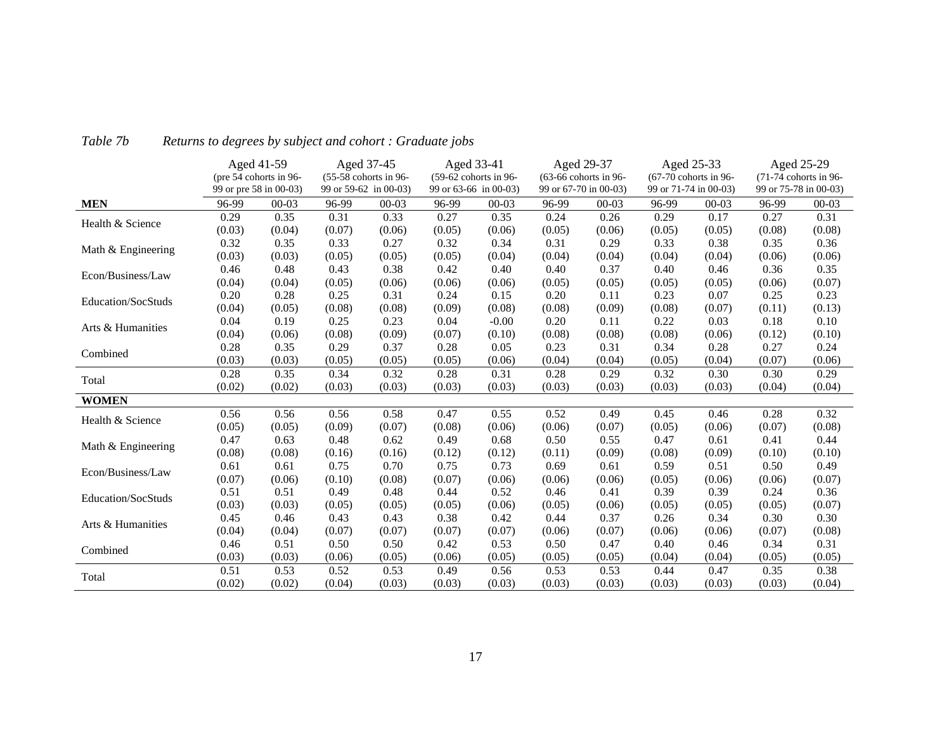|                    |        | Aged 41-59             |        | Aged 37-45            |        | Aged 33-41            |        | Aged 29-37            |        | Aged 25-33            |        | Aged 25-29            |
|--------------------|--------|------------------------|--------|-----------------------|--------|-----------------------|--------|-----------------------|--------|-----------------------|--------|-----------------------|
|                    |        | (pre 54 cohorts in 96- |        | (55-58 cohorts in 96- |        | (59-62 cohorts in 96- |        | (63-66 cohorts in 96- |        | (67-70 cohorts in 96- |        | (71-74 cohorts in 96- |
|                    |        | 99 or pre 58 in 00-03) |        | 99 or 59-62 in 00-03) |        | 99 or 63-66 in 00-03) |        | 99 or 67-70 in 00-03) |        | 99 or 71-74 in 00-03) |        | 99 or 75-78 in 00-03) |
| <b>MEN</b>         | 96-99  | $00 - 03$              | 96-99  | $00 - 03$             | 96-99  | $00 - 03$             | 96-99  | $00 - 03$             | 96-99  | $00-03$               | 96-99  | $00 - 03$             |
| Health & Science   | 0.29   | 0.35                   | 0.31   | 0.33                  | 0.27   | 0.35                  | 0.24   | 0.26                  | 0.29   | 0.17                  | 0.27   | 0.31                  |
|                    | (0.03) | (0.04)                 | (0.07) | (0.06)                | (0.05) | (0.06)                | (0.05) | (0.06)                | (0.05) | (0.05)                | (0.08) | (0.08)                |
| Math & Engineering | 0.32   | 0.35                   | 0.33   | 0.27                  | 0.32   | 0.34                  | 0.31   | 0.29                  | 0.33   | 0.38                  | 0.35   | 0.36                  |
|                    | (0.03) | (0.03)                 | (0.05) | (0.05)                | (0.05) | (0.04)                | (0.04) | (0.04)                | (0.04) | (0.04)                | (0.06) | (0.06)                |
| Econ/Business/Law  | 0.46   | 0.48                   | 0.43   | 0.38                  | 0.42   | 0.40                  | 0.40   | 0.37                  | 0.40   | 0.46                  | 0.36   | 0.35                  |
|                    | (0.04) | (0.04)                 | (0.05) | (0.06)                | (0.06) | (0.06)                | (0.05) | (0.05)                | (0.05) | (0.05)                | (0.06) | (0.07)                |
| Education/SocStuds | 0.20   | 0.28                   | 0.25   | 0.31                  | 0.24   | 0.15                  | 0.20   | 0.11                  | 0.23   | 0.07                  | 0.25   | 0.23                  |
|                    | (0.04) | (0.05)                 | (0.08) | (0.08)                | (0.09) | (0.08)                | (0.08) | (0.09)                | (0.08) | (0.07)                | (0.11) | (0.13)                |
| Arts & Humanities  | 0.04   | 0.19                   | 0.25   | 0.23                  | 0.04   | $-0.00$               | 0.20   | 0.11                  | 0.22   | 0.03                  | 0.18   | 0.10                  |
|                    | (0.04) | (0.06)                 | (0.08) | (0.09)                | (0.07) | (0.10)                | (0.08) | (0.08)                | (0.08) | (0.06)                | (0.12) | (0.10)                |
| Combined           | 0.28   | 0.35                   | 0.29   | 0.37                  | 0.28   | 0.05                  | 0.23   | 0.31                  | 0.34   | 0.28                  | 0.27   | 0.24                  |
|                    | (0.03) | (0.03)                 | (0.05) | (0.05)                | (0.05) | (0.06)                | (0.04) | (0.04)                | (0.05) | (0.04)                | (0.07) | (0.06)                |
| Total              | 0.28   | 0.35                   | 0.34   | 0.32                  | 0.28   | 0.31                  | 0.28   | 0.29                  | 0.32   | 0.30                  | 0.30   | 0.29                  |
|                    | (0.02) | (0.02)                 | (0.03) | (0.03)                | (0.03) | (0.03)                | (0.03) | (0.03)                | (0.03) | (0.03)                | (0.04) | (0.04)                |
| <b>WOMEN</b>       |        |                        |        |                       |        |                       |        |                       |        |                       |        |                       |
| Health & Science   | 0.56   | 0.56                   | 0.56   | 0.58                  | 0.47   | 0.55                  | 0.52   | 0.49                  | 0.45   | 0.46                  | 0.28   | 0.32                  |
|                    | (0.05) | (0.05)                 | (0.09) | (0.07)                | (0.08) | (0.06)                | (0.06) | (0.07)                | (0.05) | (0.06)                | (0.07) | (0.08)                |
| Math & Engineering | 0.47   | 0.63                   | 0.48   | 0.62                  | 0.49   | 0.68                  | 0.50   | 0.55                  | 0.47   | 0.61                  | 0.41   | 0.44                  |
|                    | (0.08) | (0.08)                 | (0.16) | (0.16)                | (0.12) | (0.12)                | (0.11) | (0.09)                | (0.08) | (0.09)                | (0.10) | (0.10)                |
| Econ/Business/Law  | 0.61   | 0.61                   | 0.75   | 0.70                  | 0.75   | 0.73                  | 0.69   | 0.61                  | 0.59   | 0.51                  | 0.50   | 0.49                  |
|                    | (0.07) | (0.06)                 | (0.10) | (0.08)                | (0.07) | (0.06)                | (0.06) | (0.06)                | (0.05) | (0.06)                | (0.06) | (0.07)                |
| Education/SocStuds | 0.51   | 0.51                   | 0.49   | 0.48                  | 0.44   | 0.52                  | 0.46   | 0.41                  | 0.39   | 0.39                  | 0.24   | 0.36                  |
|                    | (0.03) | (0.03)                 | (0.05) | (0.05)                | (0.05) | (0.06)                | (0.05) | (0.06)                | (0.05) | (0.05)                | (0.05) | (0.07)                |
| Arts & Humanities  | 0.45   | 0.46                   | 0.43   | 0.43                  | 0.38   | 0.42                  | 0.44   | 0.37                  | 0.26   | 0.34                  | 0.30   | 0.30                  |
|                    | (0.04) | (0.04)                 | (0.07) | (0.07)                | (0.07) | (0.07)                | (0.06) | (0.07)                | (0.06) | (0.06)                | (0.07) | (0.08)                |
| Combined           | 0.46   | 0.51                   | 0.50   | 0.50                  | 0.42   | 0.53                  | 0.50   | 0.47                  | 0.40   | 0.46                  | 0.34   | 0.31                  |
|                    | (0.03) | (0.03)                 | (0.06) | (0.05)                | (0.06) | (0.05)                | (0.05) | (0.05)                | (0.04) | (0.04)                | (0.05) | (0.05)                |
| Total              | 0.51   | 0.53                   | 0.52   | 0.53                  | 0.49   | 0.56                  | 0.53   | 0.53                  | 0.44   | 0.47                  | 0.35   | 0.38                  |
|                    | (0.02) | (0.02)                 | (0.04) | (0.03)                | (0.03) | (0.03)                | (0.03) | (0.03)                | (0.03) | (0.03)                | (0.03) | (0.04)                |

#### *Table 7bReturns to degrees by subject and cohort : Graduate jobs*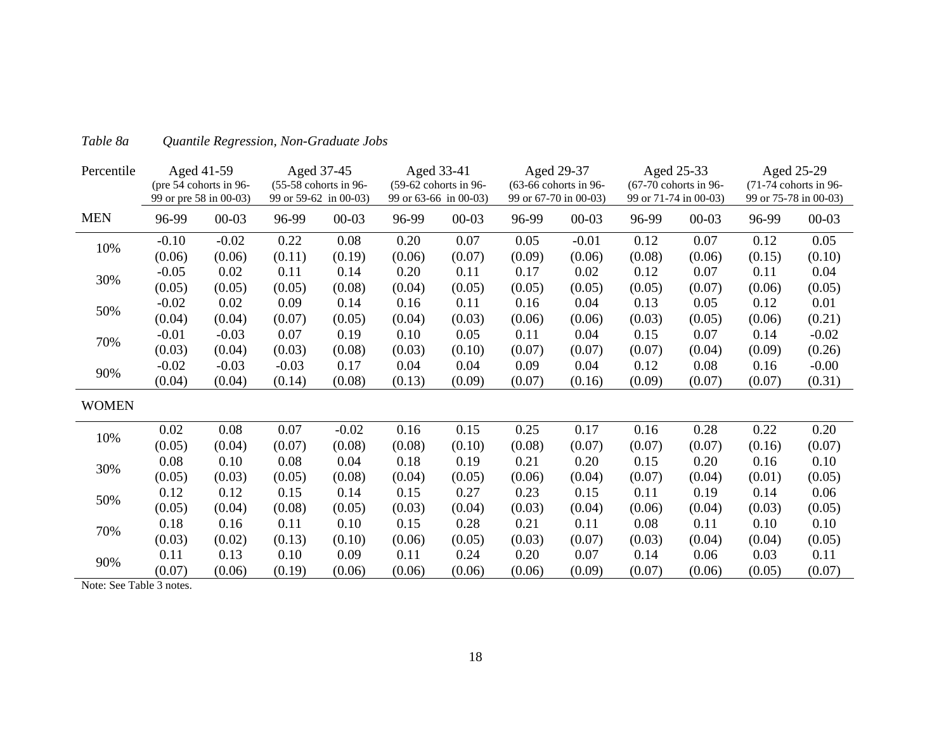| Percentile   |         | Aged 41-59             |         | Aged 37-45            |        | Aged 33-41            |        | Aged 29-37            |        | Aged 25-33              |        | Aged 25-29              |
|--------------|---------|------------------------|---------|-----------------------|--------|-----------------------|--------|-----------------------|--------|-------------------------|--------|-------------------------|
|              |         | (pre 54 cohorts in 96- |         | (55-58 cohorts in 96- |        | (59-62 cohorts in 96- |        | (63-66 cohorts in 96- |        | $(67-70$ cohorts in 96- |        | $(71-74$ cohorts in 96- |
|              |         | 99 or pre 58 in 00-03) |         | 99 or 59-62 in 00-03) |        | 99 or 63-66 in 00-03) |        | 99 or 67-70 in 00-03) |        | 99 or 71-74 in 00-03)   |        | 99 or 75-78 in 00-03)   |
| <b>MEN</b>   | 96-99   | $00 - 03$              | 96-99   | $00 - 03$             | 96-99  | $00 - 03$             | 96-99  | $00 - 03$             | 96-99  | $00 - 03$               | 96-99  | $00 - 03$               |
|              | $-0.10$ | $-0.02$                | 0.22    | 0.08                  | 0.20   | 0.07                  | 0.05   | $-0.01$               | 0.12   | 0.07                    | 0.12   | 0.05                    |
| 10%          | (0.06)  | (0.06)                 | (0.11)  | (0.19)                | (0.06) | (0.07)                | (0.09) | (0.06)                | (0.08) | (0.06)                  | (0.15) | (0.10)                  |
| 30%          | $-0.05$ | 0.02                   | 0.11    | 0.14                  | 0.20   | 0.11                  | 0.17   | 0.02                  | 0.12   | 0.07                    | 0.11   | 0.04                    |
|              | (0.05)  | (0.05)                 | (0.05)  | (0.08)                | (0.04) | (0.05)                | (0.05) | (0.05)                | (0.05) | (0.07)                  | (0.06) | (0.05)                  |
|              | $-0.02$ | 0.02                   | 0.09    | 0.14                  | 0.16   | 0.11                  | 0.16   | 0.04                  | 0.13   | 0.05                    | 0.12   | 0.01                    |
| 50%          | (0.04)  | (0.04)                 | (0.07)  | (0.05)                | (0.04) | (0.03)                | (0.06) | (0.06)                | (0.03) | (0.05)                  | (0.06) | (0.21)                  |
| 70%          | $-0.01$ | $-0.03$                | 0.07    | 0.19                  | 0.10   | 0.05                  | 0.11   | 0.04                  | 0.15   | 0.07                    | 0.14   | $-0.02$                 |
|              | (0.03)  | (0.04)                 | (0.03)  | (0.08)                | (0.03) | (0.10)                | (0.07) | (0.07)                | (0.07) | (0.04)                  | (0.09) | (0.26)                  |
|              | $-0.02$ | $-0.03$                | $-0.03$ | 0.17                  | 0.04   | 0.04                  | 0.09   | 0.04                  | 0.12   | 0.08                    | 0.16   | $-0.00$                 |
| 90%          | (0.04)  | (0.04)                 | (0.14)  | (0.08)                | (0.13) | (0.09)                | (0.07) | (0.16)                | (0.09) | (0.07)                  | (0.07) | (0.31)                  |
| <b>WOMEN</b> |         |                        |         |                       |        |                       |        |                       |        |                         |        |                         |
|              | 0.02    | 0.08                   | 0.07    | $-0.02$               | 0.16   | 0.15                  | 0.25   | 0.17                  | 0.16   | 0.28                    | 0.22   | 0.20                    |
| 10%          | (0.05)  | (0.04)                 | (0.07)  | (0.08)                | (0.08) | (0.10)                | (0.08) | (0.07)                | (0.07) | (0.07)                  | (0.16) | (0.07)                  |
|              | 0.08    | 0.10                   | 0.08    | 0.04                  | 0.18   | 0.19                  | 0.21   | 0.20                  | 0.15   | 0.20                    | 0.16   | 0.10                    |
| 30%          | (0.05)  | (0.03)                 | (0.05)  | (0.08)                | (0.04) | (0.05)                | (0.06) | (0.04)                | (0.07) | (0.04)                  | (0.01) | (0.05)                  |
|              | 0.12    | 0.12                   | 0.15    | 0.14                  | 0.15   | 0.27                  | 0.23   | 0.15                  | 0.11   | 0.19                    | 0.14   | 0.06                    |
| 50%          | (0.05)  | (0.04)                 | (0.08)  | (0.05)                | (0.03) | (0.04)                | (0.03) | (0.04)                | (0.06) | (0.04)                  | (0.03) | (0.05)                  |
|              | 0.18    | 0.16                   | 0.11    | 0.10                  | 0.15   | 0.28                  | 0.21   | 0.11                  | 0.08   | 0.11                    | 0.10   | 0.10                    |
| 70%          | (0.03)  | (0.02)                 | (0.13)  | (0.10)                | (0.06) | (0.05)                | (0.03) | (0.07)                | (0.03) | (0.04)                  | (0.04) | (0.05)                  |
|              | 0.11    | 0.13                   | 0.10    | 0.09                  | 0.11   | 0.24                  | 0.20   | 0.07                  | 0.14   | 0.06                    | 0.03   | 0.11                    |
| 90%          | (0.07)  | (0.06)                 | (0.19)  | (0.06)                | (0.06) | (0.06)                | (0.06) | (0.09)                | (0.07) | (0.06)                  | (0.05) | (0.07)                  |

#### *Table 8aQuantile Regression, Non-Graduate Jobs*

Note: See Table 3 notes.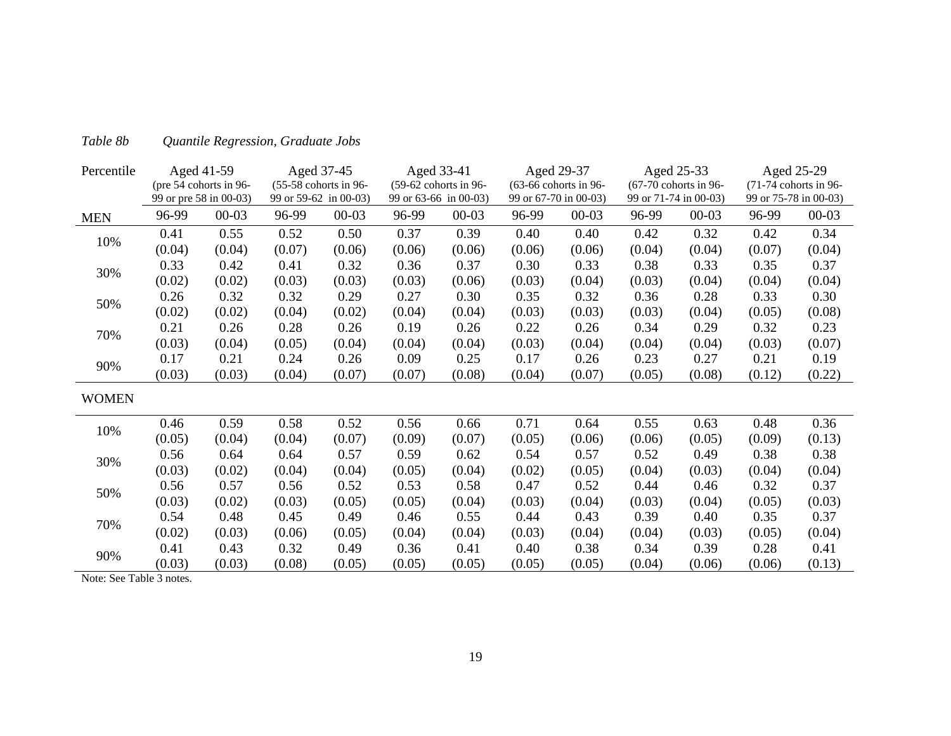| Percentile   |        | Aged 41-59             |        | Aged 37-45            |        | Aged 33-41            |        | Aged 29-37            |        | Aged 25-33              |        | Aged 25-29              |
|--------------|--------|------------------------|--------|-----------------------|--------|-----------------------|--------|-----------------------|--------|-------------------------|--------|-------------------------|
|              |        | (pre 54 cohorts in 96- |        | (55-58 cohorts in 96- |        | (59-62 cohorts in 96- |        | (63-66 cohorts in 96- |        | $(67-70$ cohorts in 96- |        | $(71-74$ cohorts in 96- |
|              |        | 99 or pre 58 in 00-03) |        | 99 or 59-62 in 00-03) |        | 99 or 63-66 in 00-03) |        | 99 or 67-70 in 00-03) |        | 99 or 71-74 in 00-03)   |        | 99 or 75-78 in 00-03)   |
| <b>MEN</b>   | 96-99  | $00 - 03$              | 96-99  | $00 - 03$             | 96-99  | $00 - 03$             | 96-99  | $00 - 03$             | 96-99  | $00 - 03$               | 96-99  | $00 - 03$               |
| 10%          | 0.41   | 0.55                   | 0.52   | 0.50                  | 0.37   | 0.39                  | 0.40   | 0.40                  | 0.42   | 0.32                    | 0.42   | 0.34                    |
|              | (0.04) | (0.04)                 | (0.07) | (0.06)                | (0.06) | (0.06)                | (0.06) | (0.06)                | (0.04) | (0.04)                  | (0.07) | (0.04)                  |
| 30%          | 0.33   | 0.42                   | 0.41   | 0.32                  | 0.36   | 0.37                  | 0.30   | 0.33                  | 0.38   | 0.33                    | 0.35   | 0.37                    |
|              | (0.02) | (0.02)                 | (0.03) | (0.03)                | (0.03) | (0.06)                | (0.03) | (0.04)                | (0.03) | (0.04)                  | (0.04) | (0.04)                  |
| 50%          | 0.26   | 0.32                   | 0.32   | 0.29                  | 0.27   | 0.30                  | 0.35   | 0.32                  | 0.36   | 0.28                    | 0.33   | 0.30                    |
|              | (0.02) | (0.02)                 | (0.04) | (0.02)                | (0.04) | (0.04)                | (0.03) | (0.03)                | (0.03) | (0.04)                  | (0.05) | (0.08)                  |
| 70%          | 0.21   | 0.26                   | 0.28   | 0.26                  | 0.19   | 0.26                  | 0.22   | 0.26                  | 0.34   | 0.29                    | 0.32   | 0.23                    |
|              | (0.03) | (0.04)                 | (0.05) | (0.04)                | (0.04) | (0.04)                | (0.03) | (0.04)                | (0.04) | (0.04)                  | (0.03) | (0.07)                  |
| 90%          | 0.17   | 0.21                   | 0.24   | 0.26                  | 0.09   | 0.25                  | 0.17   | 0.26                  | 0.23   | 0.27                    | 0.21   | 0.19                    |
|              | (0.03) | (0.03)                 | (0.04) | (0.07)                | (0.07) | (0.08)                | (0.04) | (0.07)                | (0.05) | (0.08)                  | (0.12) | (0.22)                  |
| <b>WOMEN</b> |        |                        |        |                       |        |                       |        |                       |        |                         |        |                         |
|              | 0.46   | 0.59                   | 0.58   | 0.52                  | 0.56   | 0.66                  | 0.71   | 0.64                  | 0.55   | 0.63                    | 0.48   | 0.36                    |
| 10%          | (0.05) | (0.04)                 | (0.04) | (0.07)                | (0.09) | (0.07)                | (0.05) | (0.06)                | (0.06) | (0.05)                  | (0.09) | (0.13)                  |
| 30%          | 0.56   | 0.64                   | 0.64   | 0.57                  | 0.59   | 0.62                  | 0.54   | 0.57                  | 0.52   | 0.49                    | 0.38   | 0.38                    |
|              | (0.03) | (0.02)                 | (0.04) | (0.04)                | (0.05) | (0.04)                | (0.02) | (0.05)                | (0.04) | (0.03)                  | (0.04) | (0.04)                  |
|              | 0.56   | 0.57                   | 0.56   | 0.52                  | 0.53   | 0.58                  | 0.47   | 0.52                  | 0.44   | 0.46                    | 0.32   | 0.37                    |
| 50%          | (0.03) | (0.02)                 | (0.03) | (0.05)                | (0.05) | (0.04)                | (0.03) | (0.04)                | (0.03) | (0.04)                  | (0.05) | (0.03)                  |
|              | 0.54   | 0.48                   | 0.45   | 0.49                  | 0.46   | 0.55                  | 0.44   | 0.43                  | 0.39   | 0.40                    | 0.35   | 0.37                    |
| 70%          | (0.02) | (0.03)                 | (0.06) | (0.05)                | (0.04) | (0.04)                | (0.03) | (0.04)                | (0.04) | (0.03)                  | (0.05) | (0.04)                  |
|              | 0.41   | 0.43                   | 0.32   | 0.49                  | 0.36   | 0.41                  | 0.40   | 0.38                  | 0.34   | 0.39                    | 0.28   | 0.41                    |
| 90%          | (0.03) | (0.03)                 | (0.08) | (0.05)                | (0.05) | (0.05)                | (0.05) | (0.05)                | (0.04) | (0.06)                  | (0.06) | (0.13)                  |

#### *Table 8bQuantile Regression, Graduate Jobs*

Note: See Table 3 notes.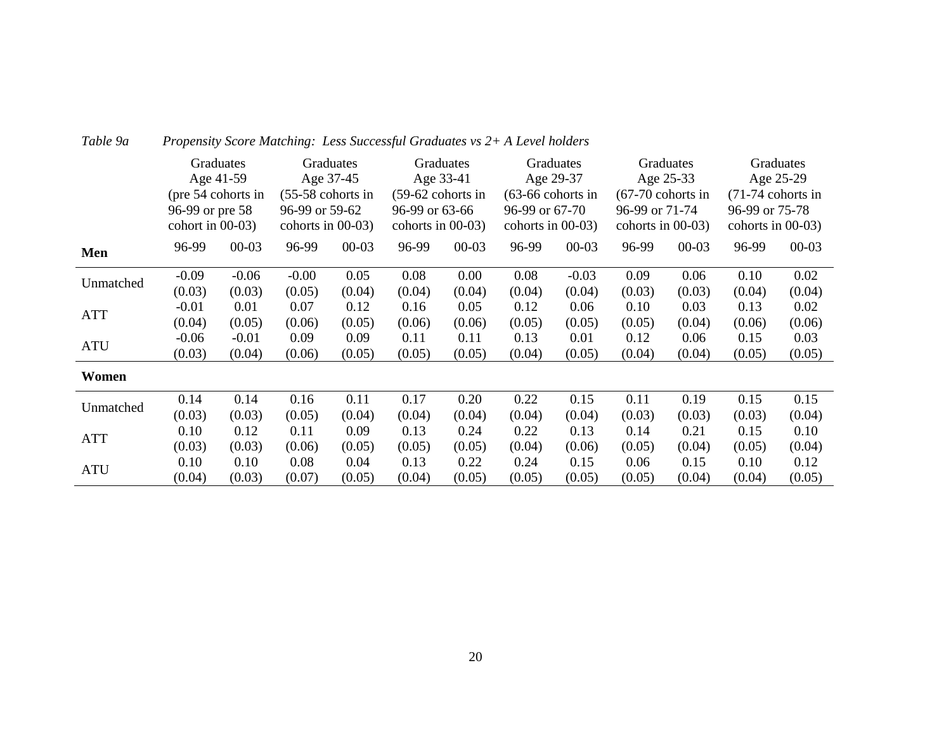|            |                     | Graduates |                      | Graduates |                                                                                                  | Graduates |                      | Graduates |                      | Graduates |                      | Graduates |
|------------|---------------------|-----------|----------------------|-----------|--------------------------------------------------------------------------------------------------|-----------|----------------------|-----------|----------------------|-----------|----------------------|-----------|
|            |                     | Age 41-59 |                      | Age 37-45 |                                                                                                  | Age 33-41 |                      | Age 29-37 |                      | Age 25-33 |                      | Age 25-29 |
|            | (pre 54 cohorts in  |           | $(55-58$ cohorts in  |           | $(59-62$ cohorts in                                                                              |           | $(63-66$ cohorts in  |           | $(67-70$ cohorts in  |           | $(71-74$ cohorts in  |           |
|            | 96-99 or pre 58     |           | 96-99 or 59-62       |           |                                                                                                  |           | $96-99$ or $67-70$   |           | 96-99 or 71-74       |           | 96-99 or 75-78       |           |
|            | cohort in $00-03$ ) |           | cohorts in $00-03$ ) |           | 96-99 or 63-66<br>cohorts in $00-03$ )<br>96-99<br>$00 - 03$<br>0.08<br>0.00<br>(0.04)<br>(0.04) |           | cohorts in $00-03$ ) |           | cohorts in $00-03$ ) |           | cohorts in $00-03$ ) |           |
| Men        | 96-99               | $00 - 03$ | 96-99                | $00 - 03$ |                                                                                                  |           | 96-99                | $00 - 03$ | 96-99                | $00 - 03$ | 96-99                | $00 - 03$ |
| Unmatched  | $-0.09$             | $-0.06$   | $-0.00$              | 0.05      |                                                                                                  |           | 0.08                 | $-0.03$   | 0.09                 | 0.06      | 0.10                 | 0.02      |
|            | (0.03)              | (0.03)    | (0.05)               | (0.04)    |                                                                                                  |           | (0.04)               | (0.04)    | (0.03)               | (0.03)    | (0.04)               | (0.04)    |
| <b>ATT</b> | $-0.01$             | 0.01      | 0.07                 | 0.12      | 0.16                                                                                             | 0.05      | 0.12                 | 0.06      | 0.10                 | 0.03      | 0.13                 | 0.02      |
|            | (0.04)              | (0.05)    | (0.06)               | (0.05)    | (0.06)                                                                                           | (0.06)    | (0.05)               | (0.05)    | (0.05)               | (0.04)    | (0.06)               | (0.06)    |
|            | $-0.06$             | $-0.01$   | 0.09                 | 0.09      | 0.11                                                                                             | 0.11      | 0.13                 | 0.01      | 0.12                 | 0.06      | 0.15                 | 0.03      |
| <b>ATU</b> | (0.03)              | (0.04)    | (0.06)               | (0.05)    | (0.05)                                                                                           | (0.05)    | (0.04)               | (0.05)    | (0.04)               | (0.04)    | (0.05)               | (0.05)    |
| Women      |                     |           |                      |           |                                                                                                  |           |                      |           |                      |           |                      |           |
| Unmatched  | 0.14                | 0.14      | 0.16                 | 0.11      | 0.17                                                                                             | 0.20      | 0.22                 | 0.15      | 0.11                 | 0.19      | 0.15                 | 0.15      |
|            | (0.03)              | (0.03)    | (0.05)               | (0.04)    | (0.04)                                                                                           | (0.04)    | (0.04)               | (0.04)    | (0.03)               | (0.03)    | (0.03)               | (0.04)    |
| <b>ATT</b> | 0.10                | 0.12      | 0.11                 | 0.09      | 0.13                                                                                             | 0.24      | 0.22                 | 0.13      | 0.14                 | 0.21      | 0.15                 | 0.10      |
|            | (0.03)              | (0.03)    | (0.06)               | (0.05)    | (0.05)                                                                                           | (0.05)    | (0.04)               | (0.06)    | (0.05)               | (0.04)    | (0.05)               | (0.04)    |
|            | 0.10                | 0.10      | 0.08                 | 0.04      | 0.13                                                                                             | 0.22      | 0.24                 | 0.15      | 0.06                 | 0.15      | 0.10                 | 0.12      |
| <b>ATU</b> | (0.04)              | (0.03)    | (0.07)               | (0.05)    | (0.04)                                                                                           | (0.05)    | (0.05)               | (0.05)    | (0.05)               | (0.04)    | (0.04)               | (0.05)    |

### *Table 9a Propensity Score Matching: Less Successful Graduates vs 2+ A Level holders*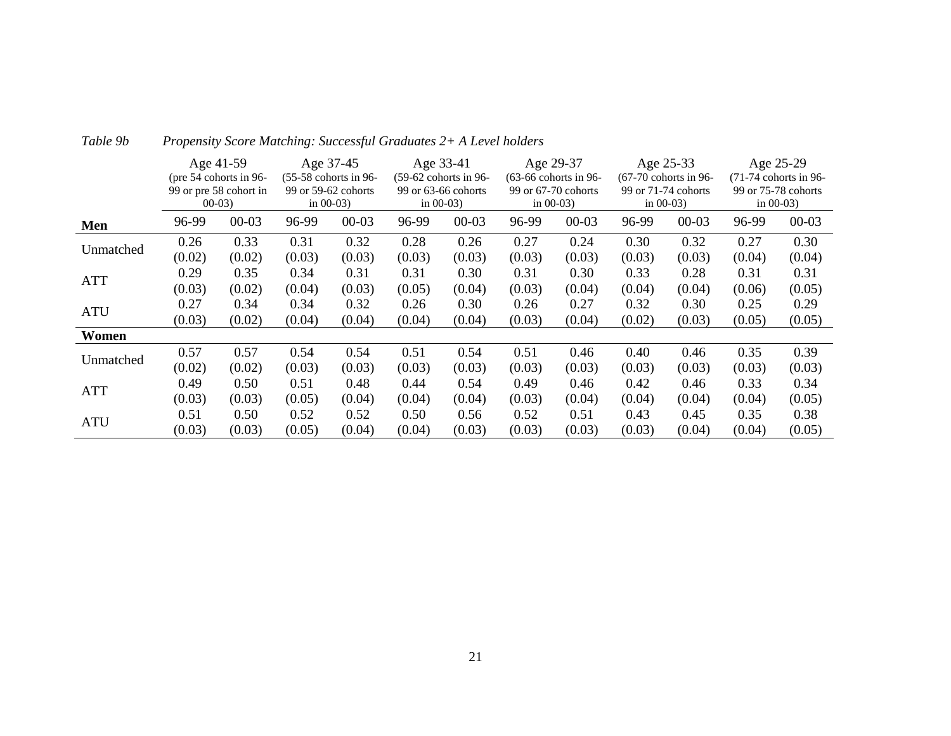|            | Age 41-59 |                          |        | Age 37-45<br>Age 33-41  |        |                         | Age 29-37               |                     | Age 25-33               |                     | Age 25-29               |                     |
|------------|-----------|--------------------------|--------|-------------------------|--------|-------------------------|-------------------------|---------------------|-------------------------|---------------------|-------------------------|---------------------|
|            |           | (pre $54$ cohorts in 96- |        | $(55-58$ cohorts in 96- |        | $(59-62$ cohorts in 96- | $(63-66$ cohorts in 96- |                     | $(67-70$ cohorts in 96- |                     | $(71-74$ cohorts in 96- |                     |
|            |           | 99 or pre 58 cohort in   |        | 99 or 59-62 cohorts     |        | 99 or 63-66 cohorts     |                         | 99 or 67-70 cohorts |                         | 99 or 71-74 cohorts |                         | 99 or 75-78 cohorts |
|            | $00-03$   |                          |        | in $00-03$ )            |        | in $00-03$ )            |                         | in $00-03$ )        |                         | in $00-03$ )        |                         | in $00-03$ )        |
| Men        | 96-99     | $00 - 03$                | 96-99  | $00 - 03$               | 96-99  | $00 - 03$               | 96-99                   | $00 - 03$           | 96-99                   | $00 - 03$           | 96-99                   | $00 - 03$           |
|            | 0.26      | 0.33                     | 0.31   | 0.32                    | 0.28   | 0.26                    | 0.27                    | 0.24                | 0.30                    | 0.32                | 0.27                    | 0.30                |
| Unmatched  | (0.02)    | (0.02)                   | (0.03) | (0.03)                  | (0.03) | (0.03)                  | (0.03)                  | (0.03)              | (0.03)                  | (0.03)              | (0.04)                  | (0.04)              |
| <b>ATT</b> | 0.29      | 0.35                     | 0.34   | 0.31                    | 0.31   | 0.30                    | 0.31                    | 0.30                | 0.33                    | 0.28                | 0.31                    | 0.31                |
|            | (0.03)    | (0.02)                   | (0.04) | (0.03)                  | (0.05) | (0.04)                  | (0.03)                  | (0.04)              | (0.04)                  | (0.04)              | (0.06)                  | (0.05)              |
| <b>ATU</b> | 0.27      | 0.34                     | 0.34   | 0.32                    | 0.26   | 0.30                    | 0.26                    | 0.27                | 0.32                    | 0.30                | 0.25                    | 0.29                |
|            | (0.03)    | (0.02)                   | (0.04) | (0.04)                  | (0.04) | (0.04)                  | (0.03)                  | (0.04)              | (0.02)                  | (0.03)              | (0.05)                  | (0.05)              |
| Women      |           |                          |        |                         |        |                         |                         |                     |                         |                     |                         |                     |
| Unmatched  | 0.57      | 0.57                     | 0.54   | 0.54                    | 0.51   | 0.54                    | 0.51                    | 0.46                | 0.40                    | 0.46                | 0.35                    | 0.39                |
|            | (0.02)    | (0.02)                   | (0.03) | (0.03)                  | (0.03) | (0.03)                  | (0.03)                  | (0.03)              | (0.03)                  | (0.03)              | (0.03)                  | (0.03)              |
| <b>ATT</b> | 0.49      | 0.50                     | 0.51   | 0.48                    | 0.44   | 0.54                    | 0.49                    | 0.46                | 0.42                    | 0.46                | 0.33                    | 0.34                |
|            | (0.03)    | (0.03)                   | (0.05) | (0.04)                  | (0.04) | (0.04)                  | (0.03)                  | (0.04)              | (0.04)                  | (0.04)              | (0.04)                  | (0.05)              |
| <b>ATU</b> | 0.51      | 0.50                     | 0.52   | 0.52                    | 0.50   | 0.56                    | 0.52                    | 0.51                | 0.43                    | 0.45                | 0.35                    | 0.38                |
|            | (0.03)    | (0.03)                   | (0.05) | (0.04)                  | (0.04) | (0.03)                  | (0.03)                  | (0.03)              | (0.03)                  | (0.04)              | (0.04)                  | (0.05)              |

*Table 9b Propensity Score Matching: Successful Graduates 2+ A Level holders*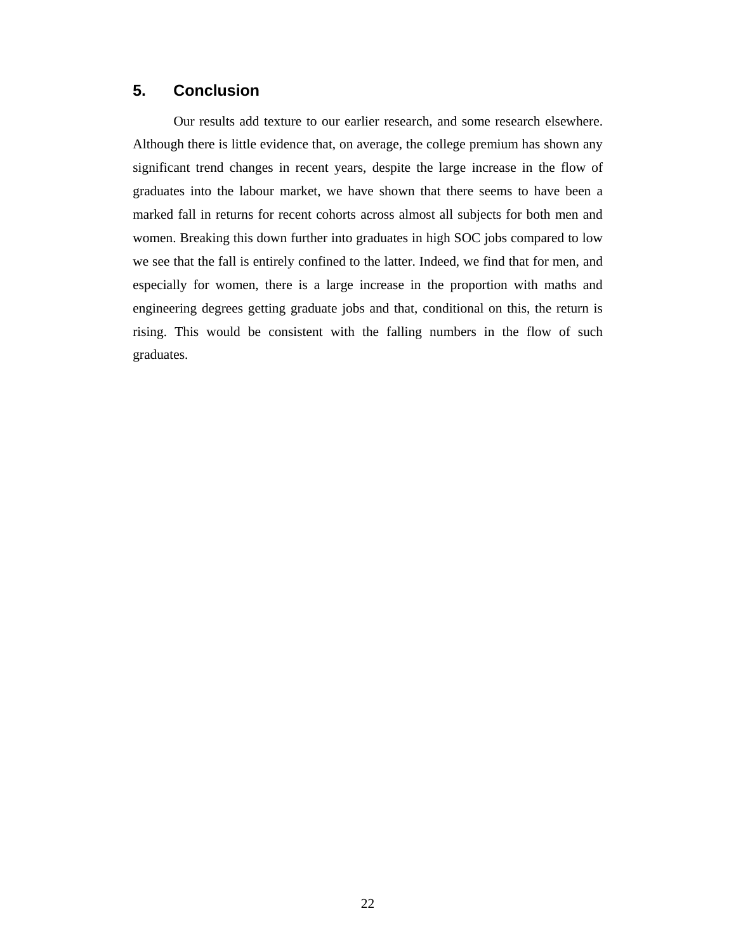#### **5. Conclusion**

Our results add texture to our earlier research, and some research elsewhere. Although there is little evidence that, on average, the college premium has shown any significant trend changes in recent years, despite the large increase in the flow of graduates into the labour market, we have shown that there seems to have been a marked fall in returns for recent cohorts across almost all subjects for both men and women. Breaking this down further into graduates in high SOC jobs compared to low we see that the fall is entirely confined to the latter. Indeed, we find that for men, and especially for women, there is a large increase in the proportion with maths and engineering degrees getting graduate jobs and that, conditional on this, the return is rising. This would be consistent with the falling numbers in the flow of such graduates.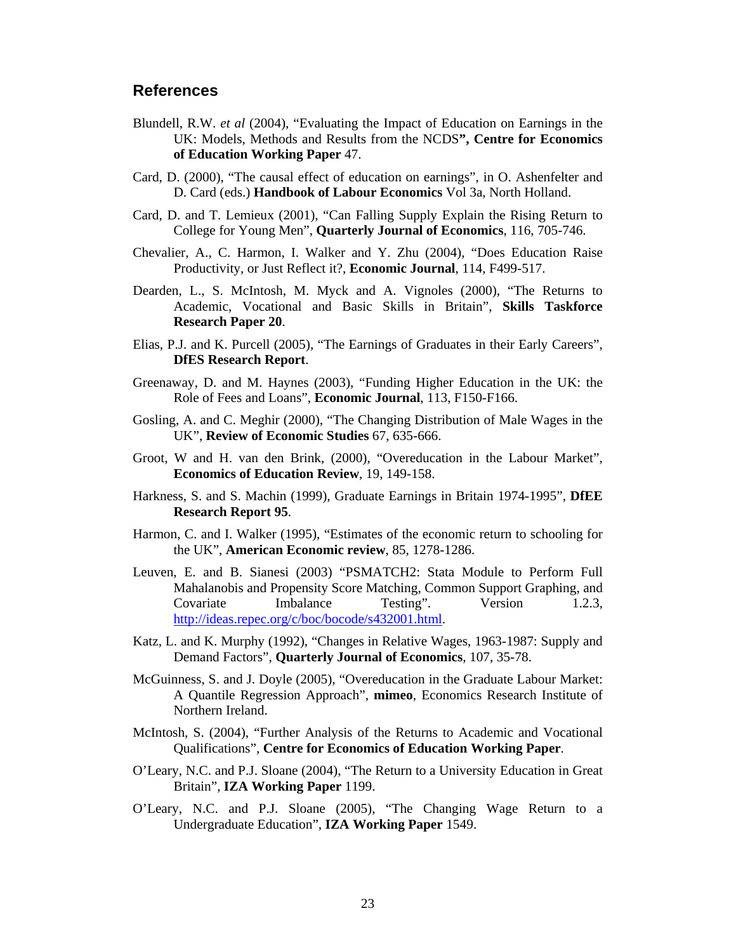#### **References**

- Blundell, R.W. *et al* (2004), "Evaluating the Impact of Education on Earnings in the UK: Models, Methods and Results from the NCDS**", Centre for Economics of Education Working Paper** 47.
- Card, D. (2000), "The causal effect of education on earnings", in O. Ashenfelter and D. Card (eds.) **Handbook of Labour Economics** Vol 3a, North Holland.
- Card, D. and T. Lemieux (2001), "Can Falling Supply Explain the Rising Return to College for Young Men", **Quarterly Journal of Economics**, 116, 705-746.
- Chevalier, A., C. Harmon, I. Walker and Y. Zhu (2004), "Does Education Raise Productivity, or Just Reflect it?, **Economic Journal**, 114, F499-517.
- Dearden, L., S. McIntosh, M. Myck and A. Vignoles (2000), "The Returns to Academic, Vocational and Basic Skills in Britain", **Skills Taskforce Research Paper 20**.
- Elias, P.J. and K. Purcell (2005), "The Earnings of Graduates in their Early Careers", **DfES Research Report**.
- Greenaway, D. and M. Haynes (2003), "Funding Higher Education in the UK: the Role of Fees and Loans", **Economic Journal**, 113, F150-F166.
- Gosling, A. and C. Meghir (2000), "The Changing Distribution of Male Wages in the UK", **Review of Economic Studies** 67, 635-666.
- Groot, W and H. van den Brink, (2000), "Overeducation in the Labour Market", **Economics of Education Review**, 19, 149-158.
- Harkness, S. and S. Machin (1999), Graduate Earnings in Britain 1974-1995", **DfEE Research Report 95**.
- Harmon, C. and I. Walker (1995), "Estimates of the economic return to schooling for the UK", **American Economic review**, 85, 1278-1286.
- Leuven, E. and B. Sianesi (2003) "PSMATCH2: Stata Module to Perform Full Mahalanobis and Propensity Score Matching, Common Support Graphing, and Covariate Imbalance Testing". Version 1.2.3, http://ideas.repec.org/c/boc/bocode/s432001.html.
- Katz, L. and K. Murphy (1992), "Changes in Relative Wages, 1963-1987: Supply and Demand Factors", **Quarterly Journal of Economics**, 107, 35-78.
- McGuinness, S. and J. Doyle (2005), "Overeducation in the Graduate Labour Market: A Quantile Regression Approach", **mimeo**, Economics Research Institute of Northern Ireland.
- McIntosh, S. (2004), "Further Analysis of the Returns to Academic and Vocational Qualifications", **Centre for Economics of Education Working Paper**.
- O'Leary, N.C. and P.J. Sloane (2004), "The Return to a University Education in Great Britain", **IZA Working Paper** 1199.
- O'Leary, N.C. and P.J. Sloane (2005), "The Changing Wage Return to a Undergraduate Education", **IZA Working Paper** 1549.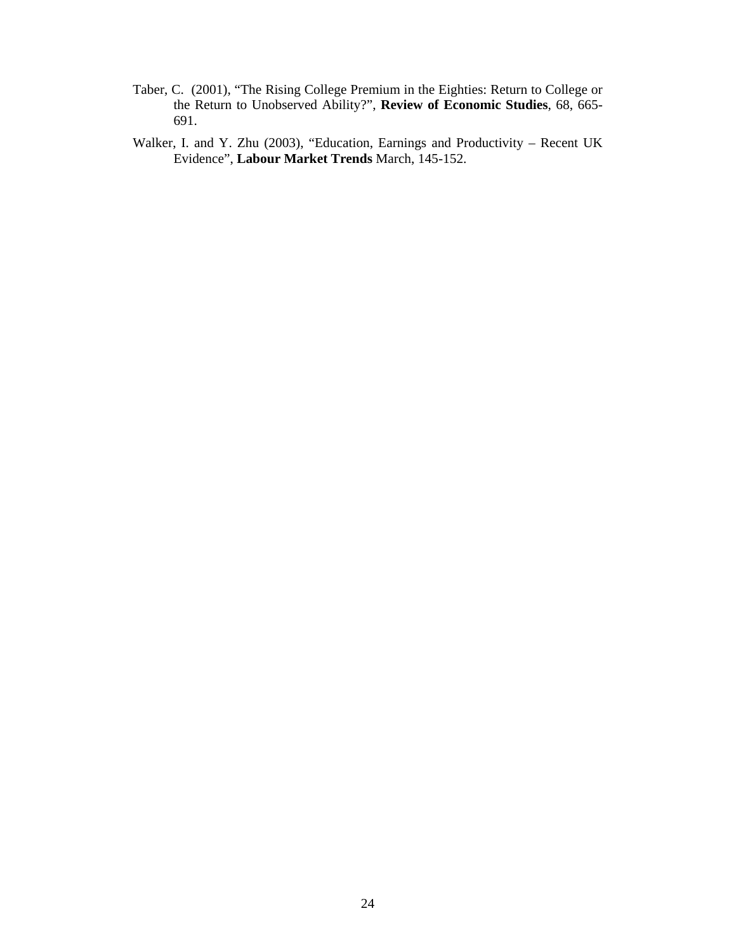- Taber, C. (2001), "The Rising College Premium in the Eighties: Return to College or the Return to Unobserved Ability?", **Review of Economic Studies**, 68, 665- 691.
- Walker, I. and Y. Zhu (2003), "Education, Earnings and Productivity Recent UK Evidence", **Labour Market Trends** March, 145-152.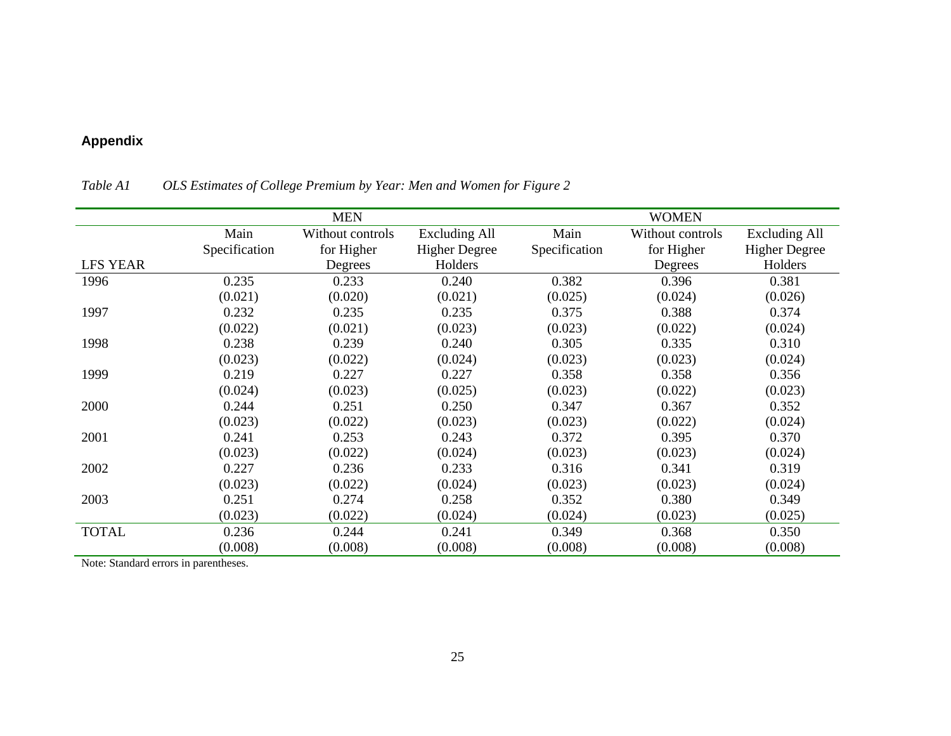# **Appendix**

|                 |               | <b>MEN</b>       |                      |               | <b>WOMEN</b>     |                      |
|-----------------|---------------|------------------|----------------------|---------------|------------------|----------------------|
|                 | Main          | Without controls | <b>Excluding All</b> | Main          | Without controls | <b>Excluding All</b> |
|                 | Specification | for Higher       | <b>Higher Degree</b> | Specification | for Higher       | <b>Higher Degree</b> |
| <b>LFS YEAR</b> |               | Degrees          | Holders              |               | Degrees          | Holders              |
| 1996            | 0.235         | 0.233            | 0.240                | 0.382         | 0.396            | 0.381                |
|                 | (0.021)       | (0.020)          | (0.021)              | (0.025)       | (0.024)          | (0.026)              |
| 1997            | 0.232         | 0.235            | 0.235                | 0.375         | 0.388            | 0.374                |
|                 | (0.022)       | (0.021)          | (0.023)              | (0.023)       | (0.022)          | (0.024)              |
| 1998            | 0.238         | 0.239            | 0.240                | 0.305         | 0.335            | 0.310                |
|                 | (0.023)       | (0.022)          | (0.024)              | (0.023)       | (0.023)          | (0.024)              |
| 1999            | 0.219         | 0.227            | 0.227                | 0.358         | 0.358            | 0.356                |
|                 | (0.024)       | (0.023)          | (0.025)              | (0.023)       | (0.022)          | (0.023)              |
| 2000            | 0.244         | 0.251            | 0.250                | 0.347         | 0.367            | 0.352                |
|                 | (0.023)       | (0.022)          | (0.023)              | (0.023)       | (0.022)          | (0.024)              |
| 2001            | 0.241         | 0.253            | 0.243                | 0.372         | 0.395            | 0.370                |
|                 | (0.023)       | (0.022)          | (0.024)              | (0.023)       | (0.023)          | (0.024)              |
| 2002            | 0.227         | 0.236            | 0.233                | 0.316         | 0.341            | 0.319                |
|                 | (0.023)       | (0.022)          | (0.024)              | (0.023)       | (0.023)          | (0.024)              |
| 2003            | 0.251         | 0.274            | 0.258                | 0.352         | 0.380            | 0.349                |
|                 | (0.023)       | (0.022)          | (0.024)              | (0.024)       | (0.023)          | (0.025)              |
| <b>TOTAL</b>    | 0.236         | 0.244            | 0.241                | 0.349         | 0.368            | 0.350                |
|                 | (0.008)       | (0.008)          | (0.008)              | (0.008)       | (0.008)          | (0.008)              |

*Table A1 OLS Estimates of College Premium by Year: Men and Women for Figure 2* 

Note: Standard errors in parentheses.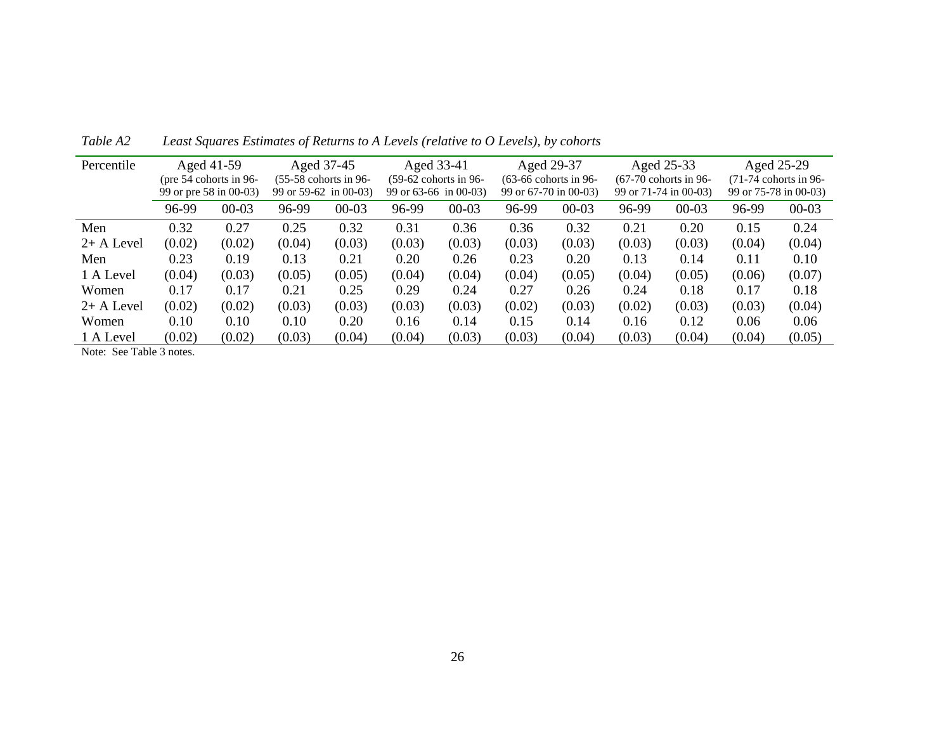| Percentile                                                        |        | Aged 41-59               |        | Aged 37-45              |        | Aged 33-41              |        | Aged 29-37              |        | Aged 25-33              |        | Aged 25-29              |
|-------------------------------------------------------------------|--------|--------------------------|--------|-------------------------|--------|-------------------------|--------|-------------------------|--------|-------------------------|--------|-------------------------|
|                                                                   |        | (pre $54$ cohorts in 96- |        | $(55-58$ cohorts in 96- |        | $(59-62$ cohorts in 96- |        | $(63-66$ cohorts in 96- |        | $(67-70$ cohorts in 96- |        | $(71-74$ cohorts in 96- |
|                                                                   |        | 99 or pre 58 in 00-03)   |        | 99 or $59-62$ in 00-03) |        | 99 or $63-66$ in 00-03) |        | 99 or 67-70 in 00-03)   |        | 99 or 71-74 in 00-03)   |        | 99 or 75-78 in 00-03)   |
|                                                                   | 96-99  | $00 - 03$                | 96-99  | $00 - 03$               | 96-99  | $00 - 03$               | 96-99  | $00-03$                 | 96-99  | $00-03$                 | 96-99  | $00 - 03$               |
| Men                                                               | 0.32   | 0.27                     | 0.25   | 0.32                    | 0.31   | 0.36                    | 0.36   | 0.32                    | 0.21   | 0.20                    | 0.15   | 0.24                    |
| $2+$ A Level                                                      | (0.02) | (0.02)                   | (0.04) | (0.03)                  | (0.03) | (0.03)                  | (0.03) | (0.03)                  | (0.03) | (0.03)                  | (0.04) | (0.04)                  |
| Men                                                               | 0.23   | 0.19                     | 0.13   | 0.21                    | 0.20   | 0.26                    | 0.23   | 0.20                    | 0.13   | 0.14                    | 0.11   | 0.10                    |
| 1 A Level                                                         | (0.04) | (0.03)                   | (0.05) | (0.05)                  | (0.04) | (0.04)                  | (0.04) | (0.05)                  | (0.04) | (0.05)                  | (0.06) | (0.07)                  |
| Women                                                             | 0.17   | 0.17                     | 0.21   | 0.25                    | 0.29   | 0.24                    | 0.27   | 0.26                    | 0.24   | 0.18                    | 0.17   | 0.18                    |
| $2+$ A Level                                                      | (0.02) | (0.02)                   | (0.03) | (0.03)                  | (0.03) | (0.03)                  | (0.02) | (0.03)                  | (0.02) | (0.03)                  | (0.03) | (0.04)                  |
| Women                                                             | 0.10   | 0.10                     | 0.10   | 0.20                    | 0.16   | 0.14                    | 0.15   | 0.14                    | 0.16   | 0.12                    | 0.06   | 0.06                    |
| 1 A Level                                                         | (0.02) | (0.02)                   | (0.03) | (0.04)                  | (0.04) | (0.03)                  | (0.03) | (0.04)                  | (0.03) | (0.04)                  | (0.04) | (0.05)                  |
| $\mathbf{M}$ $\alpha$ $\mathbf{m}$ $\mathbf{11}$ $\alpha$ $\beta$ |        |                          |        |                         |        |                         |        |                         |        |                         |        |                         |

*Table A2 Least Squares Estimates of Returns to A Levels (relative to O Levels), by cohorts* 

Note: See Table 3 notes.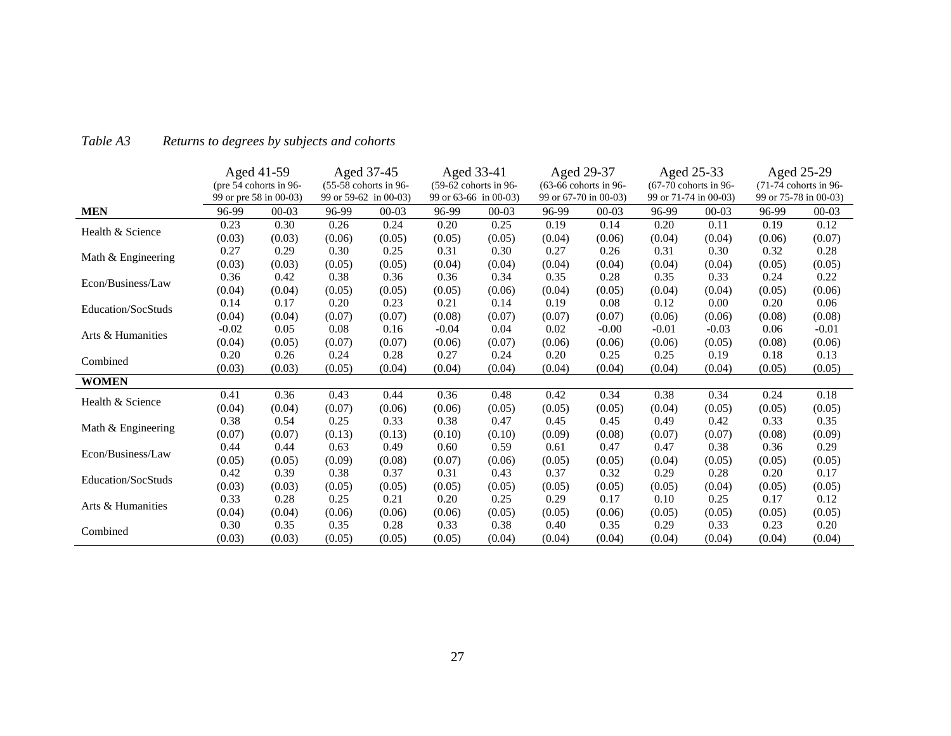|                           |         | Aged 41-59<br>(pre 54 cohorts in 96-<br>99 or pre 58 in 00-03) |        | Aged 37-45<br>(55-58 cohorts in 96-<br>99 or 59-62 in 00-03) |         | Aged 33-41<br>(59-62 cohorts in 96-<br>99 or 63-66 in 00-03) |        | Aged 29-37<br>(63-66 cohorts in 96-<br>99 or 67-70 in 00-03) | 99 or 71-74 in 00-03) | Aged 25-33<br>$(67-70$ cohorts in 96- |        | Aged 25-29<br>(71-74 cohorts in 96-<br>99 or 75-78 in 00-03) |
|---------------------------|---------|----------------------------------------------------------------|--------|--------------------------------------------------------------|---------|--------------------------------------------------------------|--------|--------------------------------------------------------------|-----------------------|---------------------------------------|--------|--------------------------------------------------------------|
| <b>MEN</b>                | 96-99   | $00 - 03$                                                      | 96-99  | $00 - 03$                                                    | 96-99   | $00 - 03$                                                    | 96-99  | $00 - 03$                                                    | 96-99                 | $00 - 03$                             | 96-99  | $00 - 03$                                                    |
| Health & Science          | 0.23    | 0.30                                                           | 0.26   | 0.24                                                         | 0.20    | 0.25                                                         | 0.19   | 0.14                                                         | 0.20                  | 0.11                                  | 0.19   | 0.12                                                         |
|                           | (0.03)  | (0.03)                                                         | (0.06) | (0.05)                                                       | (0.05)  | (0.05)                                                       | (0.04) | (0.06)                                                       | (0.04)                | (0.04)                                | (0.06) | (0.07)                                                       |
|                           | 0.27    | 0.29                                                           | 0.30   | 0.25                                                         | 0.31    | 0.30                                                         | 0.27   | 0.26                                                         | 0.31                  | 0.30                                  | 0.32   | 0.28                                                         |
| Math & Engineering        | (0.03)  | (0.03)                                                         | (0.05) | (0.05)                                                       | (0.04)  | (0.04)                                                       | (0.04) | (0.04)                                                       | (0.04)                | (0.04)                                | (0.05) | (0.05)                                                       |
| Econ/Business/Law         | 0.36    | 0.42                                                           | 0.38   | 0.36                                                         | 0.36    | 0.34                                                         | 0.35   | 0.28                                                         | 0.35                  | 0.33                                  | 0.24   | 0.22                                                         |
|                           | (0.04)  | (0.04)                                                         | (0.05) | (0.05)                                                       | (0.05)  | (0.06)                                                       | (0.04) | (0.05)                                                       | (0.04)                | (0.04)                                | (0.05) | (0.06)                                                       |
| <b>Education/SocStuds</b> | 0.14    | 0.17                                                           | 0.20   | 0.23                                                         | 0.21    | 0.14                                                         | 0.19   | 0.08                                                         | 0.12                  | 0.00                                  | 0.20   | 0.06                                                         |
|                           | (0.04)  | (0.04)                                                         | (0.07) | (0.07)                                                       | (0.08)  | (0.07)                                                       | (0.07) | (0.07)                                                       | (0.06)                | (0.06)                                | (0.08) | (0.08)                                                       |
| Arts & Humanities         | $-0.02$ | 0.05                                                           | 0.08   | 0.16                                                         | $-0.04$ | 0.04                                                         | 0.02   | $-0.00$                                                      | $-0.01$               | $-0.03$                               | 0.06   | $-0.01$                                                      |
|                           | (0.04)  | (0.05)                                                         | (0.07) | (0.07)                                                       | (0.06)  | (0.07)                                                       | (0.06) | (0.06)                                                       | (0.06)                | (0.05)                                | (0.08) | (0.06)                                                       |
| Combined                  | 0.20    | 0.26                                                           | 0.24   | 0.28                                                         | 0.27    | 0.24                                                         | 0.20   | 0.25                                                         | 0.25                  | 0.19                                  | 0.18   | 0.13                                                         |
|                           | (0.03)  | (0.03)                                                         | (0.05) | (0.04)                                                       | (0.04)  | (0.04)                                                       | (0.04) | (0.04)                                                       | (0.04)                | (0.04)                                | (0.05) | (0.05)                                                       |
| <b>WOMEN</b>              |         |                                                                |        |                                                              |         |                                                              |        |                                                              |                       |                                       |        |                                                              |
| Health & Science          | 0.41    | 0.36                                                           | 0.43   | 0.44                                                         | 0.36    | 0.48                                                         | 0.42   | 0.34                                                         | 0.38                  | 0.34                                  | 0.24   | 0.18                                                         |
|                           | (0.04)  | (0.04)                                                         | (0.07) | (0.06)                                                       | (0.06)  | (0.05)                                                       | (0.05) | (0.05)                                                       | (0.04)                | (0.05)                                | (0.05) | (0.05)                                                       |
|                           | 0.38    | 0.54                                                           | 0.25   | 0.33                                                         | 0.38    | 0.47                                                         | 0.45   | 0.45                                                         | 0.49                  | 0.42                                  | 0.33   | 0.35                                                         |
| Math & Engineering        | (0.07)  | (0.07)                                                         | (0.13) | (0.13)                                                       | (0.10)  | (0.10)                                                       | (0.09) | (0.08)                                                       | (0.07)                | (0.07)                                | (0.08) | (0.09)                                                       |
| Econ/Business/Law         | 0.44    | 0.44                                                           | 0.63   | 0.49                                                         | 0.60    | 0.59                                                         | 0.61   | 0.47                                                         | 0.47                  | 0.38                                  | 0.36   | 0.29                                                         |
|                           | (0.05)  | (0.05)                                                         | (0.09) | (0.08)                                                       | (0.07)  | (0.06)                                                       | (0.05) | (0.05)                                                       | (0.04)                | (0.05)                                | (0.05) | (0.05)                                                       |
| <b>Education/SocStuds</b> | 0.42    | 0.39                                                           | 0.38   | 0.37                                                         | 0.31    | 0.43                                                         | 0.37   | 0.32                                                         | 0.29                  | 0.28                                  | 0.20   | 0.17                                                         |
|                           | (0.03)  | (0.03)                                                         | (0.05) | (0.05)                                                       | (0.05)  | (0.05)                                                       | (0.05) | (0.05)                                                       | (0.05)                | (0.04)                                | (0.05) | (0.05)                                                       |
| Arts & Humanities         | 0.33    | 0.28                                                           | 0.25   | 0.21                                                         | 0.20    | 0.25                                                         | 0.29   | 0.17                                                         | 0.10                  | 0.25                                  | 0.17   | 0.12                                                         |
|                           | (0.04)  | (0.04)                                                         | (0.06) | (0.06)                                                       | (0.06)  | (0.05)                                                       | (0.05) | (0.06)                                                       | (0.05)                | (0.05)                                | (0.05) | (0.05)                                                       |
| Combined                  | 0.30    | 0.35                                                           | 0.35   | 0.28                                                         | 0.33    | 0.38                                                         | 0.40   | 0.35                                                         | 0.29                  | 0.33                                  | 0.23   | 0.20                                                         |
|                           | (0.03)  | (0.03)                                                         | (0.05) | (0.05)                                                       | (0.05)  | (0.04)                                                       | (0.04) | (0.04)                                                       | (0.04)                | (0.04)                                | (0.04) | (0.04)                                                       |

#### *Table A3Returns to degrees by subjects and cohorts*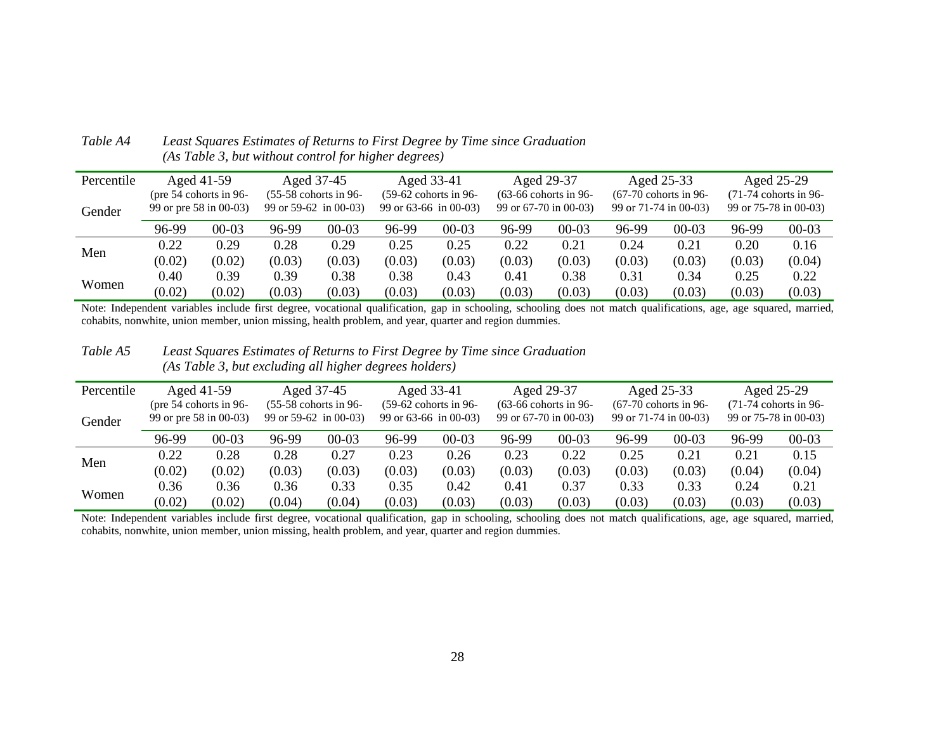| Percentile |        | Aged 41-59               |        | Aged 37-45              |                       | Aged 33-41              |        | Aged 29-37              |                       | Aged 25-33              |        | Aged 25-29              |
|------------|--------|--------------------------|--------|-------------------------|-----------------------|-------------------------|--------|-------------------------|-----------------------|-------------------------|--------|-------------------------|
|            |        | (pre $54$ cohorts in 96- |        | $(55-58$ cohorts in 96- |                       | $(59-62$ cohorts in 96- |        | $(63-66$ cohorts in 96- |                       | $(67-70$ cohorts in 96- |        | $(71-74$ cohorts in 96- |
| Gender     |        | 99 or pre 58 in 00-03)   |        | 99 or $59-62$ in 00-03) | 99 or 63-66 in 00-03) |                         |        | 99 or 67-70 in 00-03)   | 99 or 71-74 in 00-03) |                         |        | 99 or 75-78 in 00-03)   |
|            | 96-99  | $00 - 03$                | 96-99  | $00 - 03$               | 96-99                 | $00 - 03$               | 96-99  | $00 - 03$               | 96-99                 | $00-03$                 | 96-99  | $00 - 03$               |
| Men        | 0.22   | 0.29                     | 0.28   | 0.29                    | 0.25                  | 0.25                    | 0.22   | 0.21                    | 0.24                  | 0.21                    | 0.20   | 0.16                    |
|            | (0.02) | (0.02)                   | (0.03) | (0.03)                  | (0.03)                | (0.03)                  | (0.03) | (0.03)                  | (0.03)                | (0.03)                  | (0.03) | (0.04)                  |
|            | 0.40   | 0.39                     | 0.39   | 0.38                    | 0.38                  | 0.43                    | 0.41   | 0.38                    | 0.31                  | 0.34                    | 0.25   | 0.22                    |
| Women      | (0.02) | (0.02)                   | (0.03) | (0.03)                  | (0.03)                | (0.03)                  | (0.03) | (0.03)                  | (0.03)                | (0.03)                  | (0.03) | (0.03)                  |

*Table A4 Least Squares Estimates of Returns to First Degree by Time since Graduation (As Table 3, but without control for higher degrees)* 

Note: Independent variables include first degree, vocational qualification, gap in schooling, schooling does not match qualifications, age, age squared, married, cohabits, nonwhite, union member, union missing, health problem, and year, quarter and region dummies.

*Table A5 Least Squares Estimates of Returns to First Degree by Time since Graduation (As Table 3, but excluding all higher degrees holders)* 

| Percentile |        | Aged 41-59                                         |                         | Aged 37-45              |        | Aged 33-41                                         |        | Aged 29-37                                       |        | Aged 25-33                                       |        | Aged 25-29                                       |
|------------|--------|----------------------------------------------------|-------------------------|-------------------------|--------|----------------------------------------------------|--------|--------------------------------------------------|--------|--------------------------------------------------|--------|--------------------------------------------------|
| Gender     |        | (pre $54$ cohorts in 96-<br>99 or pre 58 in 00-03) | 99 or $59-62$ in 00-03) | $(55-58$ cohorts in 96- |        | $(59-62$ cohorts in 96-<br>99 or $63-66$ in 00-03) |        | $(63-66$ cohorts in 96-<br>99 or 67-70 in 00-03) |        | $(67-70$ cohorts in 96-<br>99 or 71-74 in 00-03) |        | $(71-74$ cohorts in 96-<br>99 or 75-78 in 00-03) |
|            | 96-99  | $00 - 03$                                          | 96-99                   | $00 - 03$               | 96-99  | $00 - 03$                                          | 96-99  | $00 - 03$                                        | 96-99  | $00 - 03$                                        | 96-99  | $00 - 03$                                        |
| Men        | 0.22   | 0.28                                               | 0.28                    | 0.27                    | 0.23   | 0.26                                               | 0.23   | 0.22                                             | 0.25   | 0.21                                             | 0.21   | 0.15                                             |
|            | (0.02) | (0.02)                                             | (0.03)                  | (0.03)                  | (0.03) | (0.03)                                             | (0.03) | (0.03)                                           | (0.03) | (0.03)                                           | (0.04) | (0.04)                                           |
|            | 0.36   | 0.36                                               | 0.36                    | 0.33                    | 0.35   | 0.42                                               | 0.41   | 0.37                                             | 0.33   | 0.33                                             | 0.24   | 0.21                                             |
| Women      | (0.02) | (0.02)                                             | (0.04)                  | (0.04)                  | (0.03) | (0.03)                                             | (0.03) | (0.03)                                           | (0.03) | (0.03)                                           | (0.03) | (0.03)                                           |

Note: Independent variables include first degree, vocational qualification, gap in schooling, schooling does not match qualifications, age, age squared, married, cohabits, nonwhite, union member, union missing, health problem, and year, quarter and region dummies.